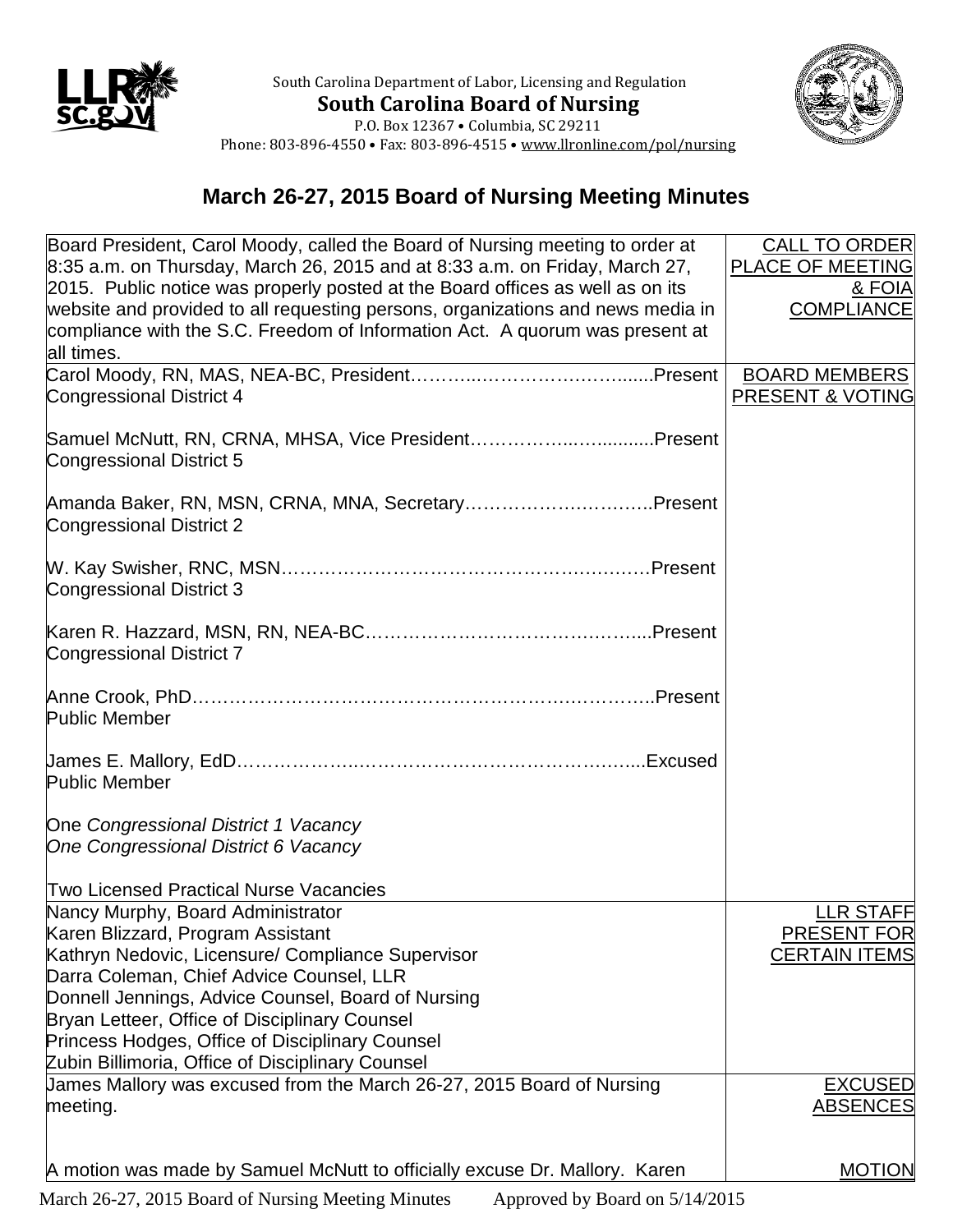

South Carolina Department of Labor, Licensing and Regulation **South Carolina Board of Nursing**



P.O. Box 12367 • Columbia, SC 29211 Phone: 803-896-4550 • Fax: 803-896-4515 • www.llronline.com/pol/nursing

## **March 26-27, 2015 Board of Nursing Meeting Minutes**

| Board President, Carol Moody, called the Board of Nursing meeting to order at<br>$8:35$ a.m. on Thursday, March 26, 2015 and at 8:33 a.m. on Friday, March 27,                                                                                    | <b>CALL TO ORDER</b><br><b>PLACE OF MEETING</b>     |
|---------------------------------------------------------------------------------------------------------------------------------------------------------------------------------------------------------------------------------------------------|-----------------------------------------------------|
| 2015. Public notice was properly posted at the Board offices as well as on its<br>website and provided to all requesting persons, organizations and news media in<br>compliance with the S.C. Freedom of Information Act. A quorum was present at | & FOIA<br><b>COMPLIANCE</b>                         |
| all times.                                                                                                                                                                                                                                        |                                                     |
| <b>Congressional District 4</b>                                                                                                                                                                                                                   | <b>BOARD MEMBERS</b><br><b>PRESENT &amp; VOTING</b> |
| Samuel McNutt, RN, CRNA, MHSA, Vice PresidentPresent<br>Congressional District 5                                                                                                                                                                  |                                                     |
| Amanda Baker, RN, MSN, CRNA, MNA, SecretaryPresent<br><b>Congressional District 2</b>                                                                                                                                                             |                                                     |
| Congressional District 3                                                                                                                                                                                                                          |                                                     |
| Congressional District 7                                                                                                                                                                                                                          |                                                     |
| <b>Public Member</b>                                                                                                                                                                                                                              |                                                     |
| <b>Public Member</b>                                                                                                                                                                                                                              |                                                     |
| One Congressional District 1 Vacancy                                                                                                                                                                                                              |                                                     |
| One Congressional District 6 Vacancy                                                                                                                                                                                                              |                                                     |
|                                                                                                                                                                                                                                                   |                                                     |
| <b>Two Licensed Practical Nurse Vacancies</b>                                                                                                                                                                                                     |                                                     |
| Nancy Murphy, Board Administrator                                                                                                                                                                                                                 | <b>LLR STAFF</b>                                    |
| Karen Blizzard, Program Assistant<br>Kathryn Nedovic, Licensure/ Compliance Supervisor                                                                                                                                                            | <b>PRESENT FOR</b><br><b>CERTAIN ITEMS</b>          |
| Darra Coleman, Chief Advice Counsel, LLR                                                                                                                                                                                                          |                                                     |
| Donnell Jennings, Advice Counsel, Board of Nursing                                                                                                                                                                                                |                                                     |
| Bryan Letteer, Office of Disciplinary Counsel                                                                                                                                                                                                     |                                                     |
| Princess Hodges, Office of Disciplinary Counsel                                                                                                                                                                                                   |                                                     |
| Zubin Billimoria, Office of Disciplinary Counsel                                                                                                                                                                                                  |                                                     |
| James Mallory was excused from the March 26-27, 2015 Board of Nursing                                                                                                                                                                             | <b>EXCUSED</b>                                      |
| meeting.                                                                                                                                                                                                                                          | <b>ABSENCES</b>                                     |
|                                                                                                                                                                                                                                                   |                                                     |
| A motion was made by Samuel McNutt to officially excuse Dr. Mallory. Karen                                                                                                                                                                        | <b>MOTION</b>                                       |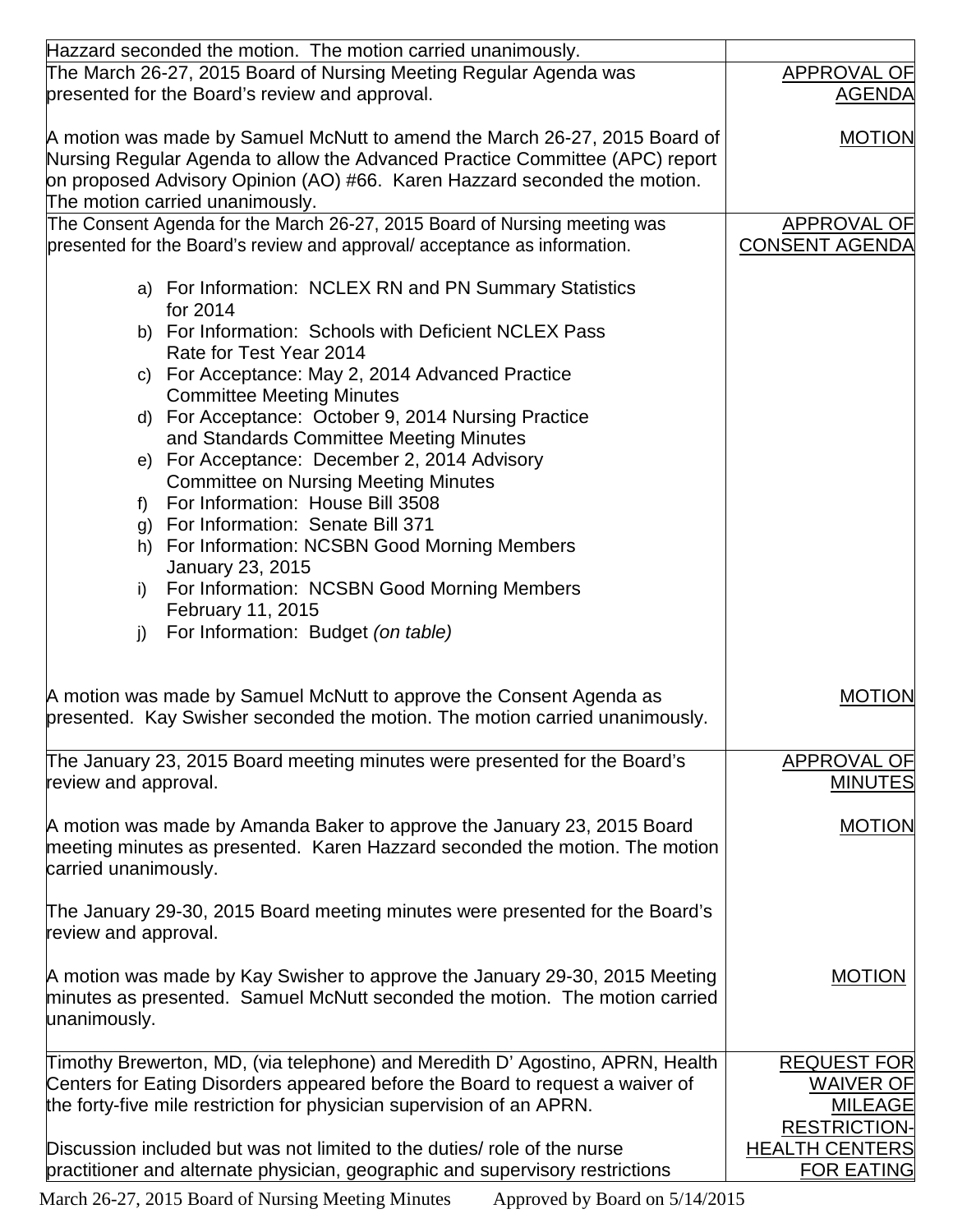| presented for the Board's review and approval.<br><b>AGENDA</b><br><b>MOTION</b><br>The motion carried unanimously.<br>The Consent Agenda for the March 26-27, 2015 Board of Nursing meeting was<br><b>APPROVAL OF</b><br><b>CONSENT AGENDA</b><br>a) For Information: NCLEX RN and PN Summary Statistics<br>for 2014<br>b) For Information: Schools with Deficient NCLEX Pass<br>Rate for Test Year 2014<br>c) For Acceptance: May 2, 2014 Advanced Practice<br><b>Committee Meeting Minutes</b><br>d) For Acceptance: October 9, 2014 Nursing Practice<br>and Standards Committee Meeting Minutes<br>e) For Acceptance: December 2, 2014 Advisory<br><b>Committee on Nursing Meeting Minutes</b><br>For Information: House Bill 3508<br>$f$ )<br>g) For Information: Senate Bill 371<br>h) For Information: NCSBN Good Morning Members<br>January 23, 2015<br>For Information: NCSBN Good Morning Members<br>i)<br>February 11, 2015<br>For Information: Budget (on table)<br>j)<br><b>MOTION</b><br>The January 23, 2015 Board meeting minutes were presented for the Board's<br>APPROVAL OF<br><b>MINUTES</b><br><b>MOTION</b><br><b>MOTION</b><br>Timothy Brewerton, MD, (via telephone) and Meredith D' Agostino, APRN, Health<br><b>REQUEST FOR</b><br><b>WAIVER OF</b><br><b>MILEAGE</b><br><b>RESTRICTION-</b> | Hazzard seconded the motion. The motion carried unanimously.                                                                                                                                                                            |                    |
|-------------------------------------------------------------------------------------------------------------------------------------------------------------------------------------------------------------------------------------------------------------------------------------------------------------------------------------------------------------------------------------------------------------------------------------------------------------------------------------------------------------------------------------------------------------------------------------------------------------------------------------------------------------------------------------------------------------------------------------------------------------------------------------------------------------------------------------------------------------------------------------------------------------------------------------------------------------------------------------------------------------------------------------------------------------------------------------------------------------------------------------------------------------------------------------------------------------------------------------------------------------------------------------------------------------------------|-----------------------------------------------------------------------------------------------------------------------------------------------------------------------------------------------------------------------------------------|--------------------|
|                                                                                                                                                                                                                                                                                                                                                                                                                                                                                                                                                                                                                                                                                                                                                                                                                                                                                                                                                                                                                                                                                                                                                                                                                                                                                                                         | The March 26-27, 2015 Board of Nursing Meeting Regular Agenda was                                                                                                                                                                       | <b>APPROVAL OF</b> |
|                                                                                                                                                                                                                                                                                                                                                                                                                                                                                                                                                                                                                                                                                                                                                                                                                                                                                                                                                                                                                                                                                                                                                                                                                                                                                                                         |                                                                                                                                                                                                                                         |                    |
|                                                                                                                                                                                                                                                                                                                                                                                                                                                                                                                                                                                                                                                                                                                                                                                                                                                                                                                                                                                                                                                                                                                                                                                                                                                                                                                         | A motion was made by Samuel McNutt to amend the March 26-27, 2015 Board of<br>Nursing Regular Agenda to allow the Advanced Practice Committee (APC) report<br>on proposed Advisory Opinion (AO) #66. Karen Hazzard seconded the motion. |                    |
|                                                                                                                                                                                                                                                                                                                                                                                                                                                                                                                                                                                                                                                                                                                                                                                                                                                                                                                                                                                                                                                                                                                                                                                                                                                                                                                         |                                                                                                                                                                                                                                         |                    |
|                                                                                                                                                                                                                                                                                                                                                                                                                                                                                                                                                                                                                                                                                                                                                                                                                                                                                                                                                                                                                                                                                                                                                                                                                                                                                                                         | presented for the Board's review and approval/acceptance as information.                                                                                                                                                                |                    |
|                                                                                                                                                                                                                                                                                                                                                                                                                                                                                                                                                                                                                                                                                                                                                                                                                                                                                                                                                                                                                                                                                                                                                                                                                                                                                                                         |                                                                                                                                                                                                                                         |                    |
|                                                                                                                                                                                                                                                                                                                                                                                                                                                                                                                                                                                                                                                                                                                                                                                                                                                                                                                                                                                                                                                                                                                                                                                                                                                                                                                         |                                                                                                                                                                                                                                         |                    |
|                                                                                                                                                                                                                                                                                                                                                                                                                                                                                                                                                                                                                                                                                                                                                                                                                                                                                                                                                                                                                                                                                                                                                                                                                                                                                                                         |                                                                                                                                                                                                                                         |                    |
|                                                                                                                                                                                                                                                                                                                                                                                                                                                                                                                                                                                                                                                                                                                                                                                                                                                                                                                                                                                                                                                                                                                                                                                                                                                                                                                         |                                                                                                                                                                                                                                         |                    |
|                                                                                                                                                                                                                                                                                                                                                                                                                                                                                                                                                                                                                                                                                                                                                                                                                                                                                                                                                                                                                                                                                                                                                                                                                                                                                                                         |                                                                                                                                                                                                                                         |                    |
|                                                                                                                                                                                                                                                                                                                                                                                                                                                                                                                                                                                                                                                                                                                                                                                                                                                                                                                                                                                                                                                                                                                                                                                                                                                                                                                         |                                                                                                                                                                                                                                         |                    |
|                                                                                                                                                                                                                                                                                                                                                                                                                                                                                                                                                                                                                                                                                                                                                                                                                                                                                                                                                                                                                                                                                                                                                                                                                                                                                                                         |                                                                                                                                                                                                                                         |                    |
|                                                                                                                                                                                                                                                                                                                                                                                                                                                                                                                                                                                                                                                                                                                                                                                                                                                                                                                                                                                                                                                                                                                                                                                                                                                                                                                         |                                                                                                                                                                                                                                         |                    |
|                                                                                                                                                                                                                                                                                                                                                                                                                                                                                                                                                                                                                                                                                                                                                                                                                                                                                                                                                                                                                                                                                                                                                                                                                                                                                                                         |                                                                                                                                                                                                                                         |                    |
|                                                                                                                                                                                                                                                                                                                                                                                                                                                                                                                                                                                                                                                                                                                                                                                                                                                                                                                                                                                                                                                                                                                                                                                                                                                                                                                         |                                                                                                                                                                                                                                         |                    |
|                                                                                                                                                                                                                                                                                                                                                                                                                                                                                                                                                                                                                                                                                                                                                                                                                                                                                                                                                                                                                                                                                                                                                                                                                                                                                                                         |                                                                                                                                                                                                                                         |                    |
|                                                                                                                                                                                                                                                                                                                                                                                                                                                                                                                                                                                                                                                                                                                                                                                                                                                                                                                                                                                                                                                                                                                                                                                                                                                                                                                         |                                                                                                                                                                                                                                         |                    |
|                                                                                                                                                                                                                                                                                                                                                                                                                                                                                                                                                                                                                                                                                                                                                                                                                                                                                                                                                                                                                                                                                                                                                                                                                                                                                                                         | A motion was made by Samuel McNutt to approve the Consent Agenda as<br>presented. Kay Swisher seconded the motion. The motion carried unanimously.                                                                                      |                    |
|                                                                                                                                                                                                                                                                                                                                                                                                                                                                                                                                                                                                                                                                                                                                                                                                                                                                                                                                                                                                                                                                                                                                                                                                                                                                                                                         |                                                                                                                                                                                                                                         |                    |
|                                                                                                                                                                                                                                                                                                                                                                                                                                                                                                                                                                                                                                                                                                                                                                                                                                                                                                                                                                                                                                                                                                                                                                                                                                                                                                                         | review and approval.                                                                                                                                                                                                                    |                    |
|                                                                                                                                                                                                                                                                                                                                                                                                                                                                                                                                                                                                                                                                                                                                                                                                                                                                                                                                                                                                                                                                                                                                                                                                                                                                                                                         | A motion was made by Amanda Baker to approve the January 23, 2015 Board<br>meeting minutes as presented. Karen Hazzard seconded the motion. The motion<br>carried unanimously.                                                          |                    |
|                                                                                                                                                                                                                                                                                                                                                                                                                                                                                                                                                                                                                                                                                                                                                                                                                                                                                                                                                                                                                                                                                                                                                                                                                                                                                                                         | The January 29-30, 2015 Board meeting minutes were presented for the Board's<br>review and approval.                                                                                                                                    |                    |
|                                                                                                                                                                                                                                                                                                                                                                                                                                                                                                                                                                                                                                                                                                                                                                                                                                                                                                                                                                                                                                                                                                                                                                                                                                                                                                                         | A motion was made by Kay Swisher to approve the January 29-30, 2015 Meeting<br>minutes as presented. Samuel McNutt seconded the motion. The motion carried<br>unanimously.                                                              |                    |
|                                                                                                                                                                                                                                                                                                                                                                                                                                                                                                                                                                                                                                                                                                                                                                                                                                                                                                                                                                                                                                                                                                                                                                                                                                                                                                                         |                                                                                                                                                                                                                                         |                    |
|                                                                                                                                                                                                                                                                                                                                                                                                                                                                                                                                                                                                                                                                                                                                                                                                                                                                                                                                                                                                                                                                                                                                                                                                                                                                                                                         | Centers for Eating Disorders appeared before the Board to request a waiver of                                                                                                                                                           |                    |
|                                                                                                                                                                                                                                                                                                                                                                                                                                                                                                                                                                                                                                                                                                                                                                                                                                                                                                                                                                                                                                                                                                                                                                                                                                                                                                                         | the forty-five mile restriction for physician supervision of an APRN.                                                                                                                                                                   |                    |
|                                                                                                                                                                                                                                                                                                                                                                                                                                                                                                                                                                                                                                                                                                                                                                                                                                                                                                                                                                                                                                                                                                                                                                                                                                                                                                                         |                                                                                                                                                                                                                                         |                    |
| <b>HEALTH CENTERS</b><br><b>FOR EATING</b>                                                                                                                                                                                                                                                                                                                                                                                                                                                                                                                                                                                                                                                                                                                                                                                                                                                                                                                                                                                                                                                                                                                                                                                                                                                                              | Discussion included but was not limited to the duties/ role of the nurse<br>practitioner and alternate physician, geographic and supervisory restrictions                                                                               |                    |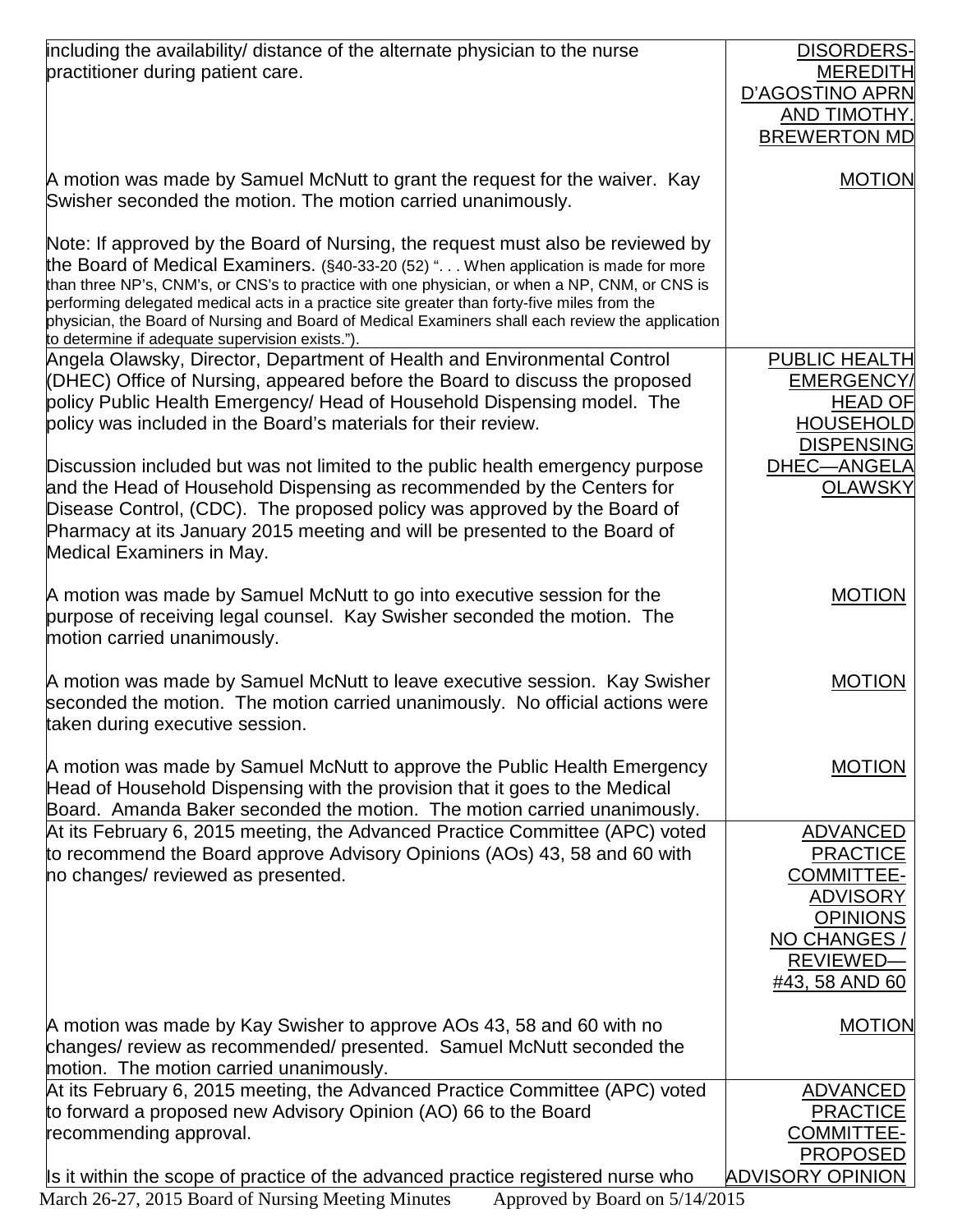| including the availability/ distance of the alternate physician to the nurse                                                                                                                                                                                                                                                                                                                                                                                                                                                   | DISORDERS-                                                                                                                                 |
|--------------------------------------------------------------------------------------------------------------------------------------------------------------------------------------------------------------------------------------------------------------------------------------------------------------------------------------------------------------------------------------------------------------------------------------------------------------------------------------------------------------------------------|--------------------------------------------------------------------------------------------------------------------------------------------|
| practitioner during patient care.                                                                                                                                                                                                                                                                                                                                                                                                                                                                                              | <b>MEREDITH</b>                                                                                                                            |
|                                                                                                                                                                                                                                                                                                                                                                                                                                                                                                                                | D'AGOSTINO APRN                                                                                                                            |
|                                                                                                                                                                                                                                                                                                                                                                                                                                                                                                                                | AND TIMOTHY.<br><b>BREWERTON MD</b>                                                                                                        |
|                                                                                                                                                                                                                                                                                                                                                                                                                                                                                                                                |                                                                                                                                            |
| A motion was made by Samuel McNutt to grant the request for the waiver. Kay<br>Swisher seconded the motion. The motion carried unanimously.                                                                                                                                                                                                                                                                                                                                                                                    | <b>MOTION</b>                                                                                                                              |
| Note: If approved by the Board of Nursing, the request must also be reviewed by<br>the Board of Medical Examiners. (§40-33-20 (52) ". When application is made for more<br>than three NP's, CNM's, or CNS's to practice with one physician, or when a NP, CNM, or CNS is<br>performing delegated medical acts in a practice site greater than forty-five miles from the<br>physician, the Board of Nursing and Board of Medical Examiners shall each review the application<br>to determine if adequate supervision exists."). |                                                                                                                                            |
| Angela Olawsky, Director, Department of Health and Environmental Control<br>(DHEC) Office of Nursing, appeared before the Board to discuss the proposed<br>policy Public Health Emergency/ Head of Household Dispensing model. The<br>policy was included in the Board's materials for their review.                                                                                                                                                                                                                           | PUBLIC HEALTH<br><b>EMERGENCY</b><br><b>HEAD OF</b><br><b>HOUSEHOLD</b>                                                                    |
| Discussion included but was not limited to the public health emergency purpose<br>and the Head of Household Dispensing as recommended by the Centers for<br>Disease Control, (CDC). The proposed policy was approved by the Board of<br>Pharmacy at its January 2015 meeting and will be presented to the Board of<br>Medical Examiners in May.                                                                                                                                                                                | <b>DISPENSING</b><br>DHEC-ANGELA<br><b>OLAWSKY</b>                                                                                         |
| A motion was made by Samuel McNutt to go into executive session for the<br>purpose of receiving legal counsel. Kay Swisher seconded the motion. The<br>motion carried unanimously.                                                                                                                                                                                                                                                                                                                                             | <b>MOTION</b>                                                                                                                              |
| A motion was made by Samuel McNutt to leave executive session. Kay Swisher<br>seconded the motion. The motion carried unanimously. No official actions were<br>taken during executive session.                                                                                                                                                                                                                                                                                                                                 | <b>MOTION</b>                                                                                                                              |
| A motion was made by Samuel McNutt to approve the Public Health Emergency<br>Head of Household Dispensing with the provision that it goes to the Medical<br>Board. Amanda Baker seconded the motion. The motion carried unanimously.                                                                                                                                                                                                                                                                                           | <b>MOTION</b>                                                                                                                              |
| At its February 6, 2015 meeting, the Advanced Practice Committee (APC) voted<br>to recommend the Board approve Advisory Opinions (AOs) 43, 58 and 60 with<br>no changes/ reviewed as presented.                                                                                                                                                                                                                                                                                                                                | <b>ADVANCED</b><br><b>PRACTICE</b><br><b>COMMITTEE-</b><br><b>ADVISORY</b><br><b>OPINIONS</b><br>NO CHANGES<br>REVIEWED-<br>#43, 58 AND 60 |
| A motion was made by Kay Swisher to approve AOs 43, 58 and 60 with no<br>changes/ review as recommended/ presented. Samuel McNutt seconded the<br>motion. The motion carried unanimously.                                                                                                                                                                                                                                                                                                                                      | <b>MOTION</b>                                                                                                                              |
| At its February 6, 2015 meeting, the Advanced Practice Committee (APC) voted<br>to forward a proposed new Advisory Opinion (AO) 66 to the Board<br>recommending approval.                                                                                                                                                                                                                                                                                                                                                      | <b>ADVANCED</b><br><b>PRACTICE</b><br><b>COMMITTEE-</b><br><b>PROPOSED</b>                                                                 |
| Is it within the scope of practice of the advanced practice registered nurse who                                                                                                                                                                                                                                                                                                                                                                                                                                               | <b>ADVISORY OPINION</b>                                                                                                                    |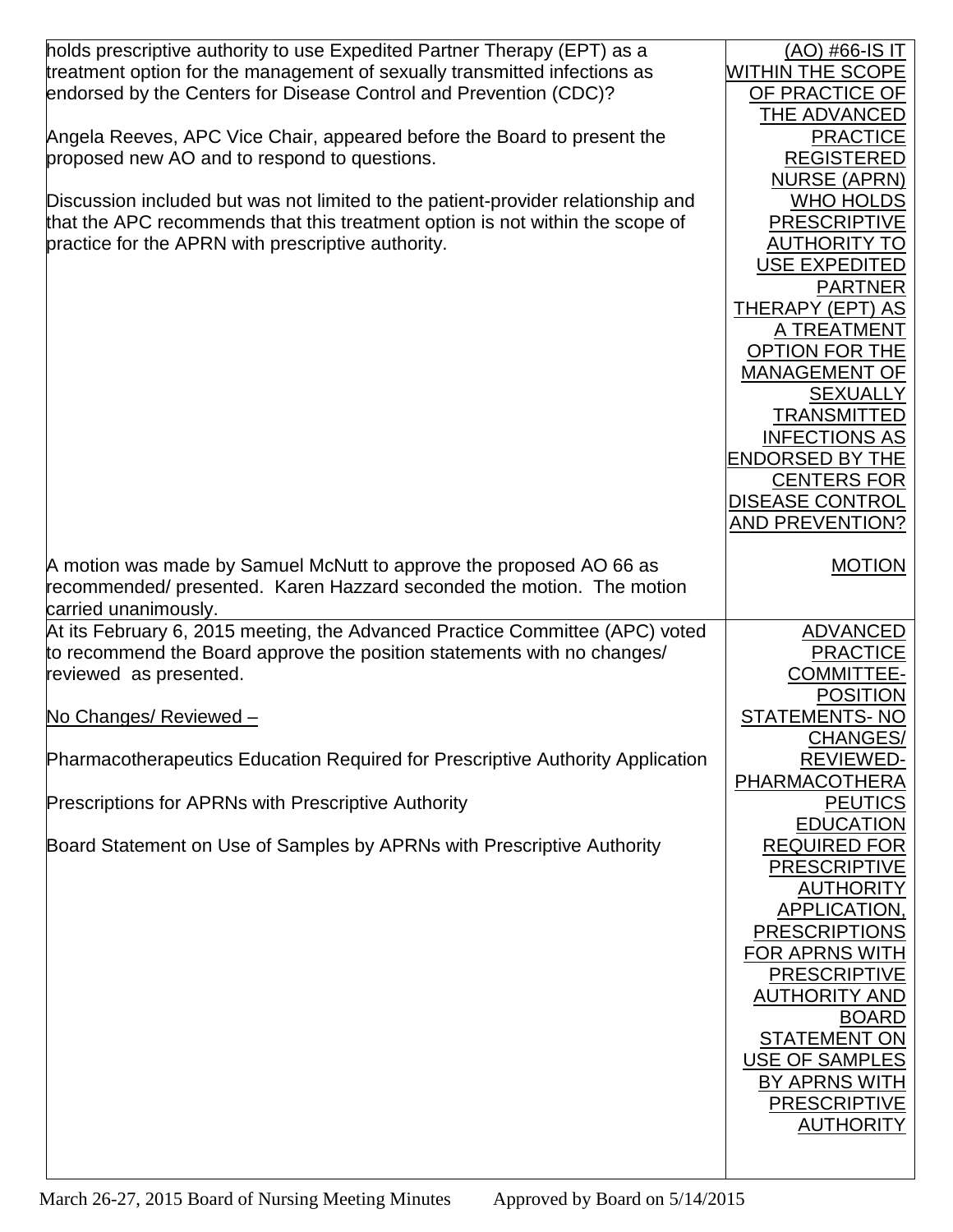| holds prescriptive authority to use Expedited Partner Therapy (EPT) as a<br>treatment option for the management of sexually transmitted infections as<br>endorsed by the Centers for Disease Control and Prevention (CDC)?<br>Angela Reeves, APC Vice Chair, appeared before the Board to present the<br>proposed new AO and to respond to questions.<br>Discussion included but was not limited to the patient-provider relationship and<br>that the APC recommends that this treatment option is not within the scope of<br>practice for the APRN with prescriptive authority. | <u>(AO) #66-IS IT</u><br><b>WITHIN THE SCOPE</b><br>OF PRACTICE OF<br>THE ADVANCED<br><b>PRACTICE</b><br><b>REGISTERED</b><br><b>NURSE (APRN)</b><br><b>WHO HOLDS</b><br><b>PRESCRIPTIVE</b><br><b>AUTHORITY TO</b><br><b>USE EXPEDITED</b><br><b>PARTNER</b><br><b>THERAPY (EPT) AS</b><br>A TREATMENT<br><b>OPTION FOR THE</b><br><b>MANAGEMENT OF</b><br><b>SEXUALLY</b><br><b>TRANSMITTED</b><br><b>INFECTIONS AS</b><br><b>ENDORSED BY THE</b><br><b>CENTERS FOR</b><br><b>DISEASE CONTROL</b><br><b>AND PREVENTION?</b> |
|----------------------------------------------------------------------------------------------------------------------------------------------------------------------------------------------------------------------------------------------------------------------------------------------------------------------------------------------------------------------------------------------------------------------------------------------------------------------------------------------------------------------------------------------------------------------------------|-------------------------------------------------------------------------------------------------------------------------------------------------------------------------------------------------------------------------------------------------------------------------------------------------------------------------------------------------------------------------------------------------------------------------------------------------------------------------------------------------------------------------------|
| A motion was made by Samuel McNutt to approve the proposed AO 66 as<br>recommended/ presented. Karen Hazzard seconded the motion. The motion<br>carried unanimously.                                                                                                                                                                                                                                                                                                                                                                                                             | <b>MOTION</b>                                                                                                                                                                                                                                                                                                                                                                                                                                                                                                                 |
| At its February 6, 2015 meeting, the Advanced Practice Committee (APC) voted<br>to recommend the Board approve the position statements with no changes/<br>reviewed as presented.<br>No Changes/ Reviewed -<br>Pharmacotherapeutics Education Required for Prescriptive Authority Application<br><b>Prescriptions for APRNs with Prescriptive Authority</b><br>Board Statement on Use of Samples by APRNs with Prescriptive Authority                                                                                                                                            | <b>ADVANCED</b><br><b>PRACTICE</b><br><b>COMMITTEE-</b><br><b>POSITION</b><br><b>STATEMENTS-NO</b><br>CHANGES/<br><b>REVIEWED-</b><br>PHARMACOTHERA<br><b>PEUTICS</b><br><b>EDUCATION</b><br><b>REQUIRED FOR</b><br><b>PRESCRIPTIVE</b><br><b>AUTHORITY</b><br><b>APPLICATION,</b><br><b>PRESCRIPTIONS</b><br><b>FOR APRNS WITH</b><br><b>PRESCRIPTIVE</b><br><b>AUTHORITY AND</b><br><b>BOARD</b><br><b>STATEMENT ON</b><br><b>USE OF SAMPLES</b><br><b>BY APRNS WITH</b><br><b>PRESCRIPTIVE</b><br><b>AUTHORITY</b>         |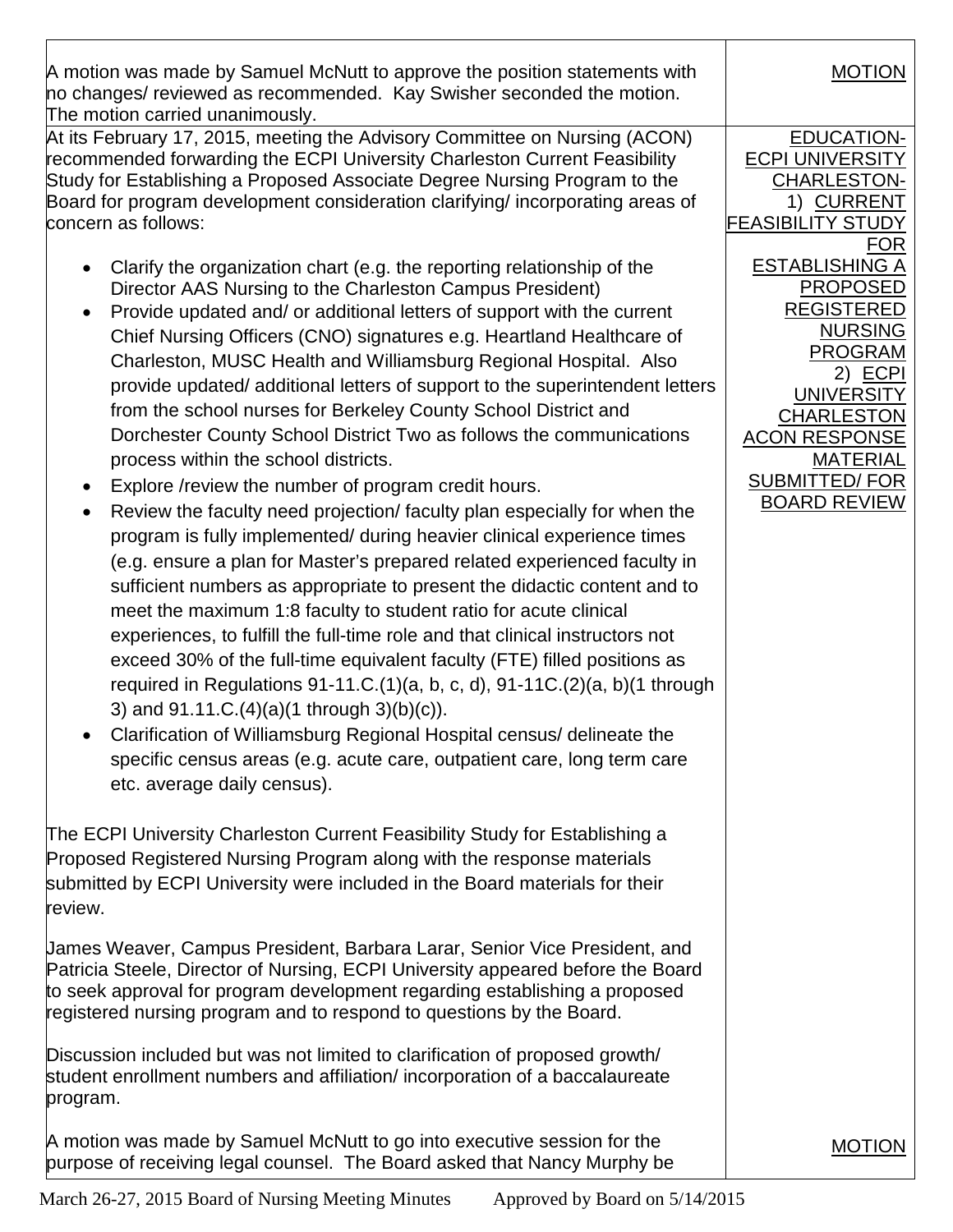A motion was made by Samuel McNutt to approve the position statements with no changes/ reviewed as recommended. Kay Swisher seconded the motion. The motion carried unanimously.

At its February 17, 2015, meeting the Advisory Committee on Nursing (ACON) recommended forwarding the ECPI University Charleston Current Feasibility Study for Establishing a Proposed Associate Degree Nursing Program to the Board for program development consideration clarifying/ incorporating areas of concern as follows:

- Clarify the organization chart (e.g. the reporting relationship of the Director AAS Nursing to the Charleston Campus President)
- Provide updated and/ or additional letters of support with the current Chief Nursing Officers (CNO) signatures e.g. Heartland Healthcare of Charleston, MUSC Health and Williamsburg Regional Hospital. Also provide updated/ additional letters of support to the superintendent letters from the school nurses for Berkeley County School District and Dorchester County School District Two as follows the communications process within the school districts.
- Explore /review the number of program credit hours.
- Review the faculty need projection/ faculty plan especially for when the program is fully implemented/ during heavier clinical experience times (e.g. ensure a plan for Master's prepared related experienced faculty in sufficient numbers as appropriate to present the didactic content and to meet the maximum 1:8 faculty to student ratio for acute clinical experiences, to fulfill the full-time role and that clinical instructors not exceed 30% of the full-time equivalent faculty (FTE) filled positions as required in Regulations  $91-11.C.(1)(a, b, c, d)$ ,  $91-11.C.(2)(a, b)$  through 3) and 91.11.C.(4)(a)(1 through 3)(b)(c)).
- Clarification of Williamsburg Regional Hospital census/ delineate the specific census areas (e.g. acute care, outpatient care, long term care etc. average daily census).

The ECPI University Charleston Current Feasibility Study for Establishing a Proposed Registered Nursing Program along with the response materials submitted by ECPI University were included in the Board materials for their review.

James Weaver, Campus President, Barbara Larar, Senior Vice President, and Patricia Steele, Director of Nursing, ECPI University appeared before the Board to seek approval for program development regarding establishing a proposed registered nursing program and to respond to questions by the Board.

Discussion included but was not limited to clarification of proposed growth/ student enrollment numbers and affiliation/ incorporation of a baccalaureate program.

A motion was made by Samuel McNutt to go into executive session for the purpose of receiving legal counsel. The Board asked that Nancy Murphy be

EDUCATION-1) CURRENT ECPI UNIVERSITY CHARLESTON-FEASIBILITY STUDY FOR 2) <u>ECPI</u> ESTABLISHING A PROPOSED REGISTERED NURSING PROGRAM **UNIVERSITY** CHARLESTON ACON RESPONSE MATERIAL SUBMITTED/FOR BOARD REVIEW

MOTION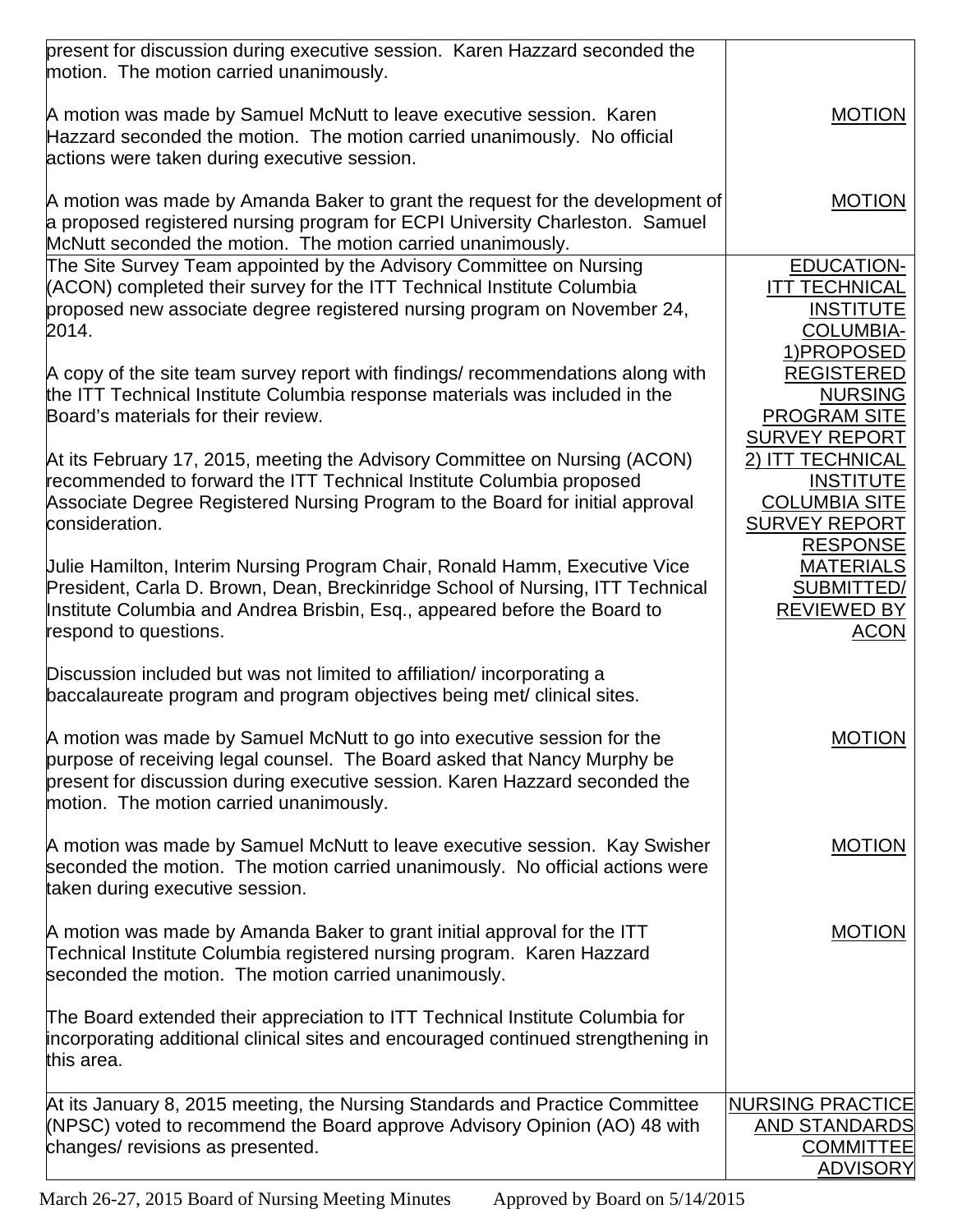| present for discussion during executive session. Karen Hazzard seconded the<br>motion. The motion carried unanimously.                                                                                                                                                        |                                                                                                         |
|-------------------------------------------------------------------------------------------------------------------------------------------------------------------------------------------------------------------------------------------------------------------------------|---------------------------------------------------------------------------------------------------------|
| A motion was made by Samuel McNutt to leave executive session. Karen<br>Hazzard seconded the motion. The motion carried unanimously. No official<br>actions were taken during executive session.                                                                              | <b>MOTION</b>                                                                                           |
| A motion was made by Amanda Baker to grant the request for the development of<br>a proposed registered nursing program for ECPI University Charleston. Samuel<br>McNutt seconded the motion. The motion carried unanimously.                                                  | <b>MOTION</b>                                                                                           |
| The Site Survey Team appointed by the Advisory Committee on Nursing<br>(ACON) completed their survey for the ITT Technical Institute Columbia<br>proposed new associate degree registered nursing program on November 24,<br>2014.                                            | <b>EDUCATION-</b><br><b>ITT TECHNICAL</b><br><b>INSTITUTE</b><br><b>COLUMBIA-</b><br>1) PROPOSED        |
| A copy of the site team survey report with findings/ recommendations along with<br>the ITT Technical Institute Columbia response materials was included in the<br>Board's materials for their review.                                                                         | <b>REGISTERED</b><br><b>NURSING</b><br><b>PROGRAM SITE</b><br><b>SURVEY REPORT</b>                      |
| At its February 17, 2015, meeting the Advisory Committee on Nursing (ACON)<br>recommended to forward the ITT Technical Institute Columbia proposed<br>Associate Degree Registered Nursing Program to the Board for initial approval<br>consideration.                         | 2) ITT TECHNICAL<br><b>INSTITUTE</b><br><b>COLUMBIA SITE</b><br><b>SURVEY REPORT</b><br><b>RESPONSE</b> |
| Uulie Hamilton, Interim Nursing Program Chair, Ronald Hamm, Executive Vice<br>President, Carla D. Brown, Dean, Breckinridge School of Nursing, ITT Technical<br>Institute Columbia and Andrea Brisbin, Esq., appeared before the Board to<br>respond to questions.            | <b>MATERIALS</b><br>SUBMITTED/<br><b>REVIEWED BY</b><br><u>ACON</u>                                     |
| Discussion included but was not limited to affiliation/ incorporating a<br>baccalaureate program and program objectives being met/ clinical sites.                                                                                                                            |                                                                                                         |
| A motion was made by Samuel McNutt to go into executive session for the<br>purpose of receiving legal counsel. The Board asked that Nancy Murphy be<br>present for discussion during executive session. Karen Hazzard seconded the<br>motion. The motion carried unanimously. | <b>MOTION</b>                                                                                           |
| A motion was made by Samuel McNutt to leave executive session. Kay Swisher<br>seconded the motion. The motion carried unanimously. No official actions were<br>taken during executive session.                                                                                | <b>MOTION</b>                                                                                           |
| A motion was made by Amanda Baker to grant initial approval for the ITT<br>Technical Institute Columbia registered nursing program. Karen Hazzard<br>seconded the motion. The motion carried unanimously.                                                                     | <b>MOTION</b>                                                                                           |
| The Board extended their appreciation to ITT Technical Institute Columbia for<br>incorporating additional clinical sites and encouraged continued strengthening in<br>this area.                                                                                              |                                                                                                         |
| At its January 8, 2015 meeting, the Nursing Standards and Practice Committee<br>(NPSC) voted to recommend the Board approve Advisory Opinion (AO) 48 with<br>changes/ revisions as presented.                                                                                 | <b>NURSING PRACTICE</b><br><b>AND STANDARDS</b><br><b>COMMITTEE</b><br><b>ADVISORY</b>                  |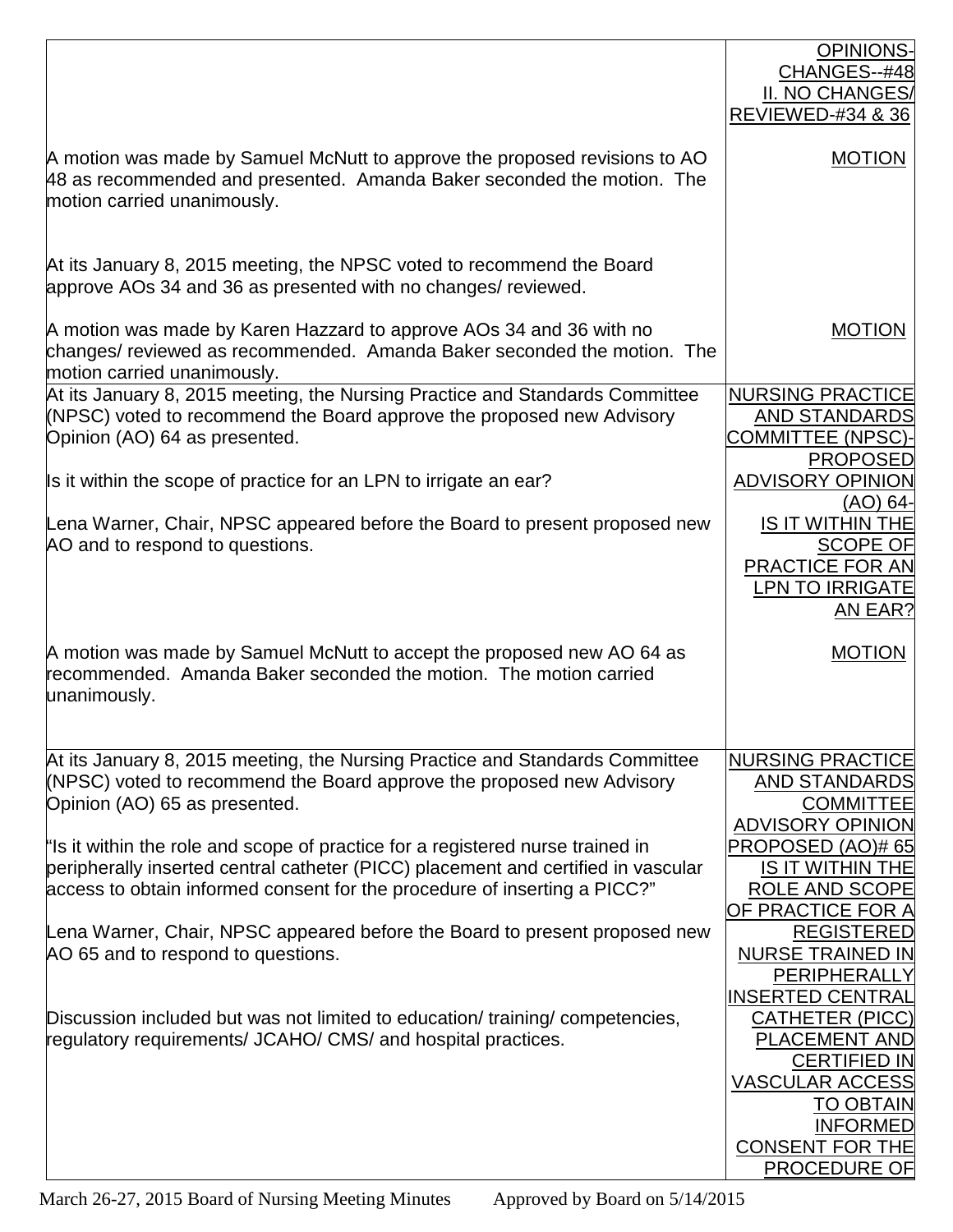|                                                                                                                                                                                                                                                  | <b>OPINIONS-</b><br>CHANGES--#48<br>II. NO CHANGES/<br><b>REVIEWED-#34 &amp; 36</b>                                                                                                     |
|--------------------------------------------------------------------------------------------------------------------------------------------------------------------------------------------------------------------------------------------------|-----------------------------------------------------------------------------------------------------------------------------------------------------------------------------------------|
| A motion was made by Samuel McNutt to approve the proposed revisions to AO<br>48 as recommended and presented. Amanda Baker seconded the motion. The<br>motion carried unanimously.                                                              | <b>MOTION</b>                                                                                                                                                                           |
| At its January 8, 2015 meeting, the NPSC voted to recommend the Board<br>approve AOs 34 and 36 as presented with no changes/ reviewed.                                                                                                           |                                                                                                                                                                                         |
| A motion was made by Karen Hazzard to approve AOs 34 and 36 with no<br>changes/ reviewed as recommended. Amanda Baker seconded the motion. The<br>motion carried unanimously.                                                                    | <b>MOTION</b>                                                                                                                                                                           |
| At its January 8, 2015 meeting, the Nursing Practice and Standards Committee<br>(NPSC) voted to recommend the Board approve the proposed new Advisory<br>Opinion (AO) 64 as presented.                                                           | <b>NURSING PRACTICE</b><br><b>AND STANDARDS</b><br><b>COMMITTEE (NPSC)</b><br><b>PROPOSED</b>                                                                                           |
| Is it within the scope of practice for an LPN to irrigate an ear?                                                                                                                                                                                | <b>ADVISORY OPINION</b><br>(AO) 64-                                                                                                                                                     |
| Lena Warner, Chair, NPSC appeared before the Board to present proposed new<br>AO and to respond to questions.                                                                                                                                    | <b>IS IT WITHIN THE</b><br><b>SCOPE OF</b><br>PRACTICE FOR AN<br><b>LPN TO IRRIGATE</b><br>AN EAR?                                                                                      |
| A motion was made by Samuel McNutt to accept the proposed new AO 64 as<br>recommended. Amanda Baker seconded the motion. The motion carried<br>unanimously.                                                                                      | <b>MOTION</b>                                                                                                                                                                           |
| At its January 8, 2015 meeting, the Nursing Practice and Standards Committee<br>(NPSC) voted to recommend the Board approve the proposed new Advisory<br>Opinion (AO) 65 as presented.                                                           | <b>NURSING PRACTICE</b><br><b>AND STANDARDS</b><br><b>COMMITTEE</b>                                                                                                                     |
| "Is it within the role and scope of practice for a registered nurse trained in<br>peripherally inserted central catheter (PICC) placement and certified in vascular<br>access to obtain informed consent for the procedure of inserting a PICC?" | <b>ADVISORY OPINION</b><br>PROPOSED (AO)# 65<br><b>IS IT WITHIN THE</b><br>ROLE AND SCOPE<br>OF PRACT <u>ICE FOR A</u>                                                                  |
| Lena Warner, Chair, NPSC appeared before the Board to present proposed new<br>AO 65 and to respond to questions.                                                                                                                                 | <b>REGISTERED</b><br><b>NURSE TRAINED IN</b><br>PERIPHERALLY<br><b>INSERTED CENTRAL</b>                                                                                                 |
| Discussion included but was not limited to education/ training/ competencies,<br>regulatory requirements/ JCAHO/ CMS/ and hospital practices.                                                                                                    | <b>CATHETER (PICC)</b><br><b>PLACEMENT AND</b><br><b>CERTIFIED IN</b><br><b>VASCULAR ACCESS</b><br><b>TO OBTAIN</b><br><b>INFORMED</b><br><b>CONSENT FOR THE</b><br><b>PROCEDURE OF</b> |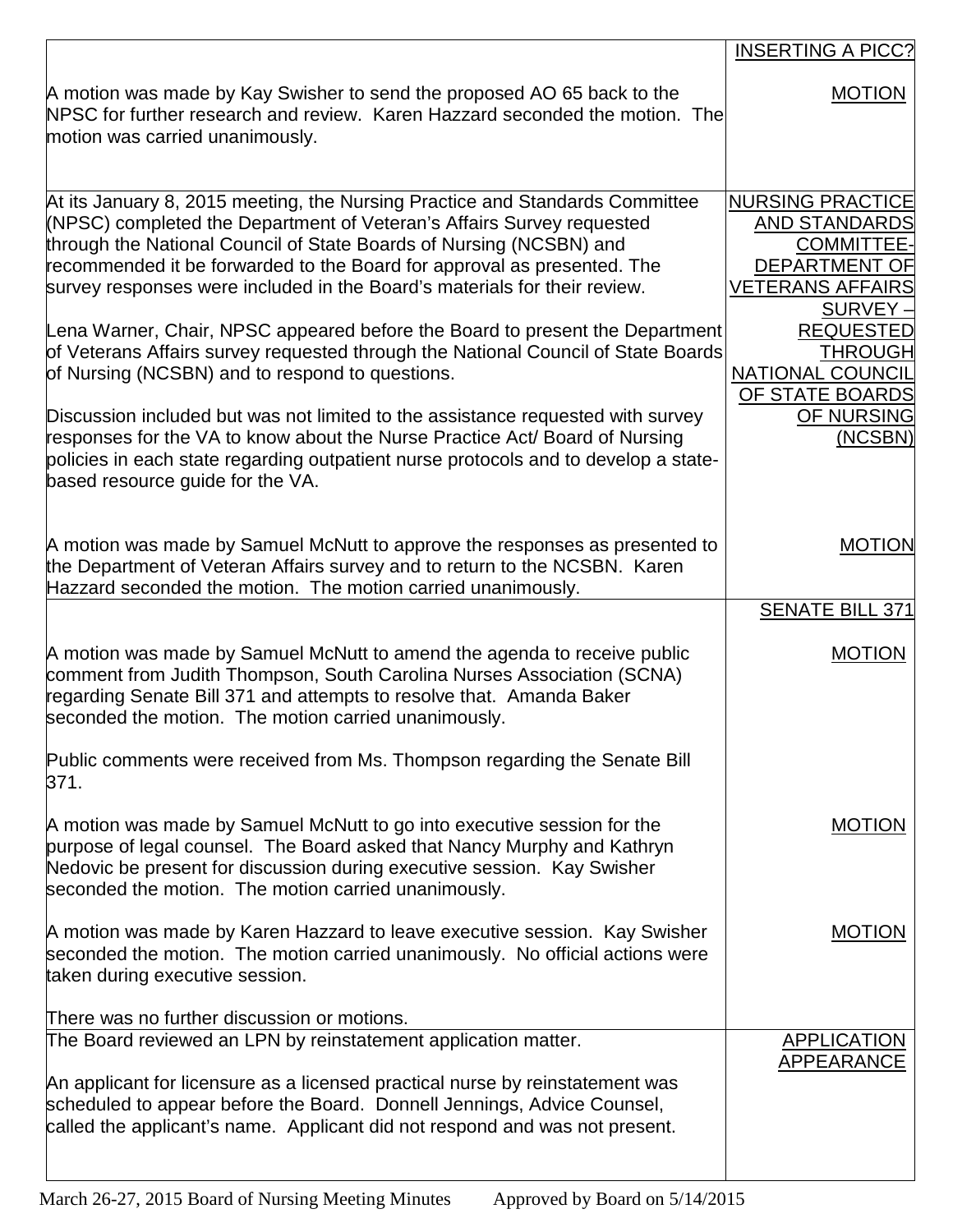|                                                                                                                                                                                                                                                                                                                                                                                                                                                                                                                                                                                                                                                                                                                                                                                                                                                                                                           | <b>INSERTING A PICC?</b>                                                                                                                                                                                                                               |
|-----------------------------------------------------------------------------------------------------------------------------------------------------------------------------------------------------------------------------------------------------------------------------------------------------------------------------------------------------------------------------------------------------------------------------------------------------------------------------------------------------------------------------------------------------------------------------------------------------------------------------------------------------------------------------------------------------------------------------------------------------------------------------------------------------------------------------------------------------------------------------------------------------------|--------------------------------------------------------------------------------------------------------------------------------------------------------------------------------------------------------------------------------------------------------|
| A motion was made by Kay Swisher to send the proposed AO 65 back to the<br>NPSC for further research and review. Karen Hazzard seconded the motion. The<br>motion was carried unanimously.                                                                                                                                                                                                                                                                                                                                                                                                                                                                                                                                                                                                                                                                                                                | <b>MOTION</b>                                                                                                                                                                                                                                          |
| At its January 8, 2015 meeting, the Nursing Practice and Standards Committee<br>(NPSC) completed the Department of Veteran's Affairs Survey requested<br>through the National Council of State Boards of Nursing (NCSBN) and<br>recommended it be forwarded to the Board for approval as presented. The<br>survey responses were included in the Board's materials for their review.<br>Lena Warner, Chair, NPSC appeared before the Board to present the Department<br>of Veterans Affairs survey requested through the National Council of State Boards<br>of Nursing (NCSBN) and to respond to questions.<br>Discussion included but was not limited to the assistance requested with survey<br>responses for the VA to know about the Nurse Practice Act/ Board of Nursing<br>policies in each state regarding outpatient nurse protocols and to develop a state-<br>based resource guide for the VA. | <b>NURSING PRACTICE</b><br><b>AND STANDARDS</b><br><b>COMMITTEE-</b><br><b>DEPARTMENT OF</b><br><b>VETERANS AFFAIRS</b><br>SURVEY-<br><b>REQUESTED</b><br><b>THROUGH</b><br><b>NATIONAL COUNCIL</b><br>OF STATE BOARDS<br><b>OF NURSING</b><br>(NCSBN) |
| A motion was made by Samuel McNutt to approve the responses as presented to<br>the Department of Veteran Affairs survey and to return to the NCSBN. Karen<br>Hazzard seconded the motion. The motion carried unanimously.                                                                                                                                                                                                                                                                                                                                                                                                                                                                                                                                                                                                                                                                                 | <b>MOTION</b><br><b>SENATE BILL 371</b>                                                                                                                                                                                                                |
| A motion was made by Samuel McNutt to amend the agenda to receive public<br>comment from Judith Thompson, South Carolina Nurses Association (SCNA)<br>regarding Senate Bill 371 and attempts to resolve that. Amanda Baker<br>seconded the motion. The motion carried unanimously.                                                                                                                                                                                                                                                                                                                                                                                                                                                                                                                                                                                                                        | <b>MOTION</b>                                                                                                                                                                                                                                          |
| Public comments were received from Ms. Thompson regarding the Senate Bill<br>371.                                                                                                                                                                                                                                                                                                                                                                                                                                                                                                                                                                                                                                                                                                                                                                                                                         |                                                                                                                                                                                                                                                        |
| A motion was made by Samuel McNutt to go into executive session for the<br>purpose of legal counsel. The Board asked that Nancy Murphy and Kathryn<br>Nedovic be present for discussion during executive session. Kay Swisher<br>seconded the motion. The motion carried unanimously.                                                                                                                                                                                                                                                                                                                                                                                                                                                                                                                                                                                                                     | <b>MOTION</b>                                                                                                                                                                                                                                          |
| A motion was made by Karen Hazzard to leave executive session. Kay Swisher<br>seconded the motion. The motion carried unanimously. No official actions were<br>taken during executive session.                                                                                                                                                                                                                                                                                                                                                                                                                                                                                                                                                                                                                                                                                                            | <b>MOTION</b>                                                                                                                                                                                                                                          |
| There was no further discussion or motions.                                                                                                                                                                                                                                                                                                                                                                                                                                                                                                                                                                                                                                                                                                                                                                                                                                                               |                                                                                                                                                                                                                                                        |
| The Board reviewed an LPN by reinstatement application matter.<br>An applicant for licensure as a licensed practical nurse by reinstatement was<br>scheduled to appear before the Board. Donnell Jennings, Advice Counsel,<br>called the applicant's name. Applicant did not respond and was not present.                                                                                                                                                                                                                                                                                                                                                                                                                                                                                                                                                                                                 | <b>APPLICATION</b><br><b>APPEARANCE</b>                                                                                                                                                                                                                |
|                                                                                                                                                                                                                                                                                                                                                                                                                                                                                                                                                                                                                                                                                                                                                                                                                                                                                                           |                                                                                                                                                                                                                                                        |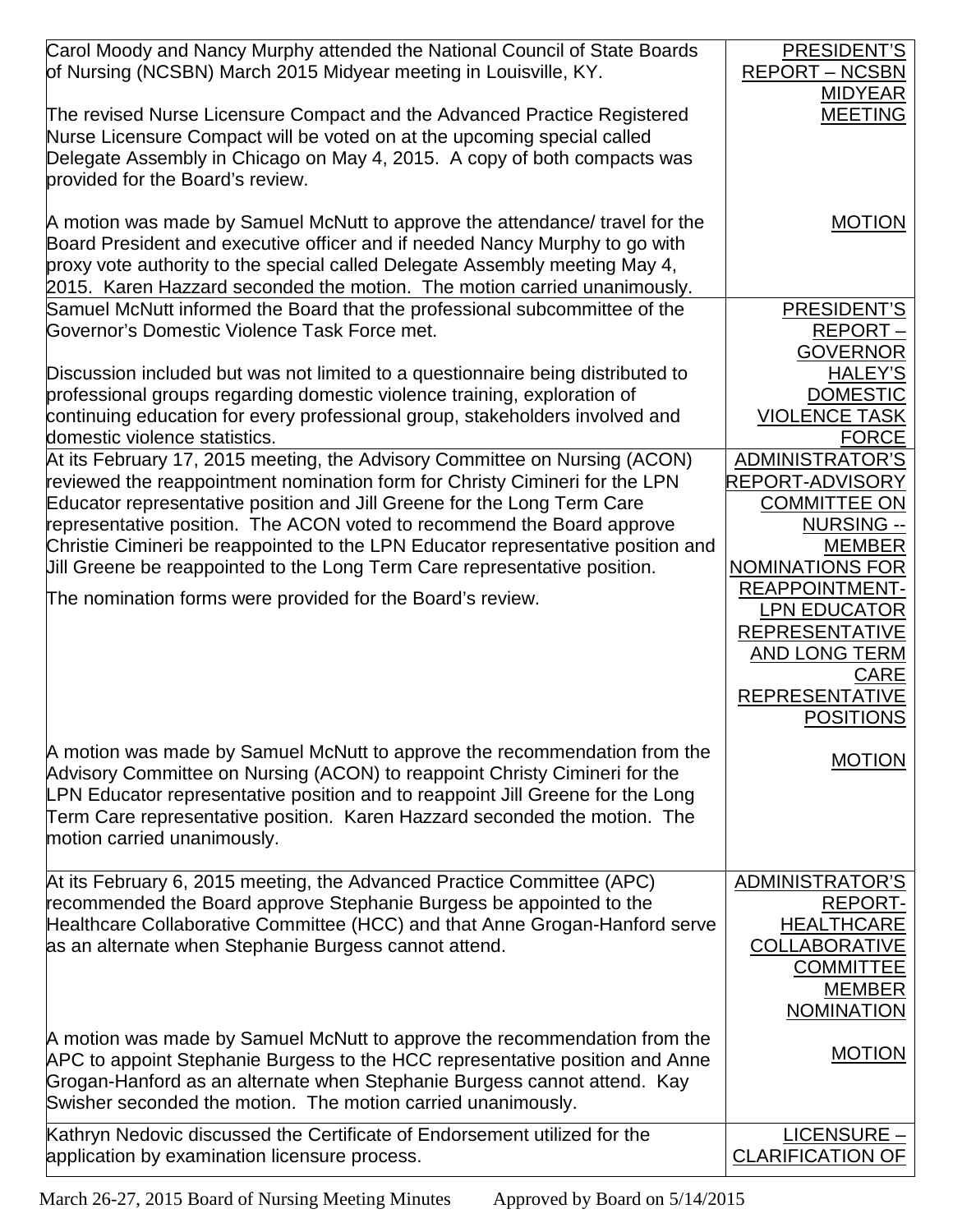| Carol Moody and Nancy Murphy attended the National Council of State Boards<br>of Nursing (NCSBN) March 2015 Midyear meeting in Louisville, KY.                                                                                                                                                                                                                                                                                                                                                                                                | PRESIDENT'S<br><b>REPORT – NCSBN</b>                                                                                                                                                                                                                                                   |
|-----------------------------------------------------------------------------------------------------------------------------------------------------------------------------------------------------------------------------------------------------------------------------------------------------------------------------------------------------------------------------------------------------------------------------------------------------------------------------------------------------------------------------------------------|----------------------------------------------------------------------------------------------------------------------------------------------------------------------------------------------------------------------------------------------------------------------------------------|
| The revised Nurse Licensure Compact and the Advanced Practice Registered<br>Nurse Licensure Compact will be voted on at the upcoming special called<br>Delegate Assembly in Chicago on May 4, 2015. A copy of both compacts was<br>provided for the Board's review.                                                                                                                                                                                                                                                                           | <b>MIDYEAR</b><br><b>MEETING</b>                                                                                                                                                                                                                                                       |
| A motion was made by Samuel McNutt to approve the attendance/ travel for the<br>Board President and executive officer and if needed Nancy Murphy to go with<br>proxy vote authority to the special called Delegate Assembly meeting May 4,<br>2015. Karen Hazzard seconded the motion. The motion carried unanimously.                                                                                                                                                                                                                        | <b>MOTION</b>                                                                                                                                                                                                                                                                          |
| Samuel McNutt informed the Board that the professional subcommittee of the<br>Governor's Domestic Violence Task Force met.                                                                                                                                                                                                                                                                                                                                                                                                                    | PRESIDENT'S<br>REPORT-<br><b>GOVERNOR</b>                                                                                                                                                                                                                                              |
| Discussion included but was not limited to a questionnaire being distributed to<br>professional groups regarding domestic violence training, exploration of<br>continuing education for every professional group, stakeholders involved and<br>domestic violence statistics.                                                                                                                                                                                                                                                                  | <b>HALEY'S</b><br><b>DOMESTIC</b><br><b>VIOLENCE TASK</b><br><b>FORCE</b>                                                                                                                                                                                                              |
| At its February 17, 2015 meeting, the Advisory Committee on Nursing (ACON)<br>reviewed the reappointment nomination form for Christy Cimineri for the LPN<br>Educator representative position and Jill Greene for the Long Term Care<br>representative position. The ACON voted to recommend the Board approve<br>Christie Cimineri be reappointed to the LPN Educator representative position and<br>Jill Greene be reappointed to the Long Term Care representative position.<br>The nomination forms were provided for the Board's review. | <b>ADMINISTRATOR'S</b><br>REPORT-ADVISORY<br><b>COMMITTEE ON</b><br><b>NURSING --</b><br><b>MEMBER</b><br><b>NOMINATIONS FOR</b><br><b>REAPPOINTMENT-</b><br><b>LPN EDUCATOR</b><br><b>REPRESENTATIVE</b><br>AND LONG TERM<br><b>CARE</b><br><b>REPRESENTATIVE</b><br><b>POSITIONS</b> |
| A motion was made by Samuel McNutt to approve the recommendation from the<br>Advisory Committee on Nursing (ACON) to reappoint Christy Cimineri for the<br>LPN Educator representative position and to reappoint Jill Greene for the Long<br>Term Care representative position. Karen Hazzard seconded the motion. The<br>motion carried unanimously.                                                                                                                                                                                         | MOTION                                                                                                                                                                                                                                                                                 |
| At its February 6, 2015 meeting, the Advanced Practice Committee (APC)<br>recommended the Board approve Stephanie Burgess be appointed to the<br>Healthcare Collaborative Committee (HCC) and that Anne Grogan-Hanford serve<br>as an alternate when Stephanie Burgess cannot attend.                                                                                                                                                                                                                                                         | <b>ADMINISTRATOR'S</b><br><b>REPORT-</b><br><b>HEALTHCARE</b><br><b>COLLABORATIVE</b><br><b>COMMITTEE</b><br><b>MEMBER</b><br><b>NOMINATION</b>                                                                                                                                        |
| A motion was made by Samuel McNutt to approve the recommendation from the<br>APC to appoint Stephanie Burgess to the HCC representative position and Anne<br>Grogan-Hanford as an alternate when Stephanie Burgess cannot attend. Kay<br>Swisher seconded the motion. The motion carried unanimously.                                                                                                                                                                                                                                         | <b>MOTION</b>                                                                                                                                                                                                                                                                          |
| Kathryn Nedovic discussed the Certificate of Endorsement utilized for the<br>application by examination licensure process.                                                                                                                                                                                                                                                                                                                                                                                                                    | LICENSURE -<br><b>CLARIFICATION OF</b>                                                                                                                                                                                                                                                 |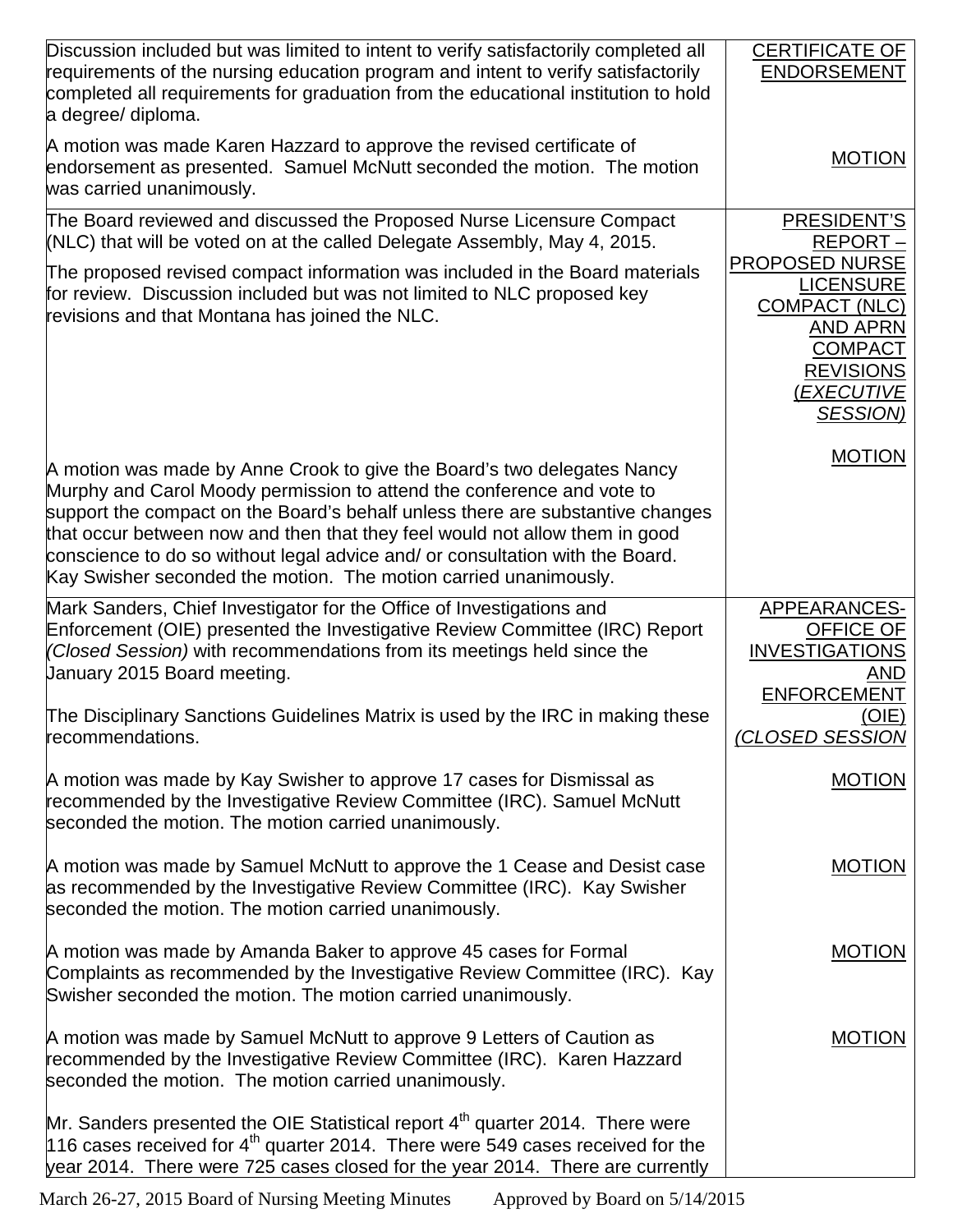| Discussion included but was limited to intent to verify satisfactorily completed all<br>requirements of the nursing education program and intent to verify satisfactorily<br>completed all requirements for graduation from the educational institution to hold<br>a degree/ diploma.                                                                                                                                                                                   | CERTIFICATE OF<br><b>ENDORSEMENT</b>                                                                                                                        |
|-------------------------------------------------------------------------------------------------------------------------------------------------------------------------------------------------------------------------------------------------------------------------------------------------------------------------------------------------------------------------------------------------------------------------------------------------------------------------|-------------------------------------------------------------------------------------------------------------------------------------------------------------|
| A motion was made Karen Hazzard to approve the revised certificate of<br>endorsement as presented. Samuel McNutt seconded the motion. The motion<br>was carried unanimously.                                                                                                                                                                                                                                                                                            | <b>MOTION</b>                                                                                                                                               |
| The Board reviewed and discussed the Proposed Nurse Licensure Compact<br>(NLC) that will be voted on at the called Delegate Assembly, May 4, 2015.                                                                                                                                                                                                                                                                                                                      | PRESIDENT'S<br>REPORT-                                                                                                                                      |
| The proposed revised compact information was included in the Board materials<br>for review. Discussion included but was not limited to NLC proposed key<br>revisions and that Montana has joined the NLC.                                                                                                                                                                                                                                                               | <b>PROPOSED NURSE</b><br><b>LICENSURE</b><br><b>COMPACT (NLC)</b><br><b>AND APRN</b><br><b>COMPACT</b><br><b>REVISIONS</b><br>(EXECUTIVE<br><b>SESSION)</b> |
| A motion was made by Anne Crook to give the Board's two delegates Nancy<br>Murphy and Carol Moody permission to attend the conference and vote to<br>support the compact on the Board's behalf unless there are substantive changes<br>that occur between now and then that they feel would not allow them in good<br>conscience to do so without legal advice and/ or consultation with the Board.<br>Kay Swisher seconded the motion. The motion carried unanimously. | <b>MOTION</b>                                                                                                                                               |
| Mark Sanders, Chief Investigator for the Office of Investigations and<br>Enforcement (OIE) presented the Investigative Review Committee (IRC) Report<br>(Closed Session) with recommendations from its meetings held since the<br>January 2015 Board meeting.                                                                                                                                                                                                           | APPEARANCES-<br><b>OFFICE OF</b><br><b>INVESTIGATIONS</b><br>AND<br><b>ENFORCEMENT</b>                                                                      |
| The Disciplinary Sanctions Guidelines Matrix is used by the IRC in making these<br>recommendations.                                                                                                                                                                                                                                                                                                                                                                     | (OIE)<br>(CLOSED SESSION                                                                                                                                    |
| A motion was made by Kay Swisher to approve 17 cases for Dismissal as<br>recommended by the Investigative Review Committee (IRC). Samuel McNutt<br>seconded the motion. The motion carried unanimously.                                                                                                                                                                                                                                                                 | <b>MOTION</b>                                                                                                                                               |
| A motion was made by Samuel McNutt to approve the 1 Cease and Desist case<br>as recommended by the Investigative Review Committee (IRC). Kay Swisher<br>seconded the motion. The motion carried unanimously.                                                                                                                                                                                                                                                            | <b>MOTION</b>                                                                                                                                               |
| A motion was made by Amanda Baker to approve 45 cases for Formal<br>Complaints as recommended by the Investigative Review Committee (IRC). Kay<br>Swisher seconded the motion. The motion carried unanimously.                                                                                                                                                                                                                                                          | <b>MOTION</b>                                                                                                                                               |
| A motion was made by Samuel McNutt to approve 9 Letters of Caution as<br>recommended by the Investigative Review Committee (IRC). Karen Hazzard<br>seconded the motion. The motion carried unanimously.                                                                                                                                                                                                                                                                 | <b>MOTION</b>                                                                                                                                               |
| Mr. Sanders presented the OIE Statistical report 4 <sup>th</sup> quarter 2014. There were<br>116 cases received for $4th$ quarter 2014. There were 549 cases received for the<br>year 2014. There were 725 cases closed for the year 2014. There are currently                                                                                                                                                                                                          |                                                                                                                                                             |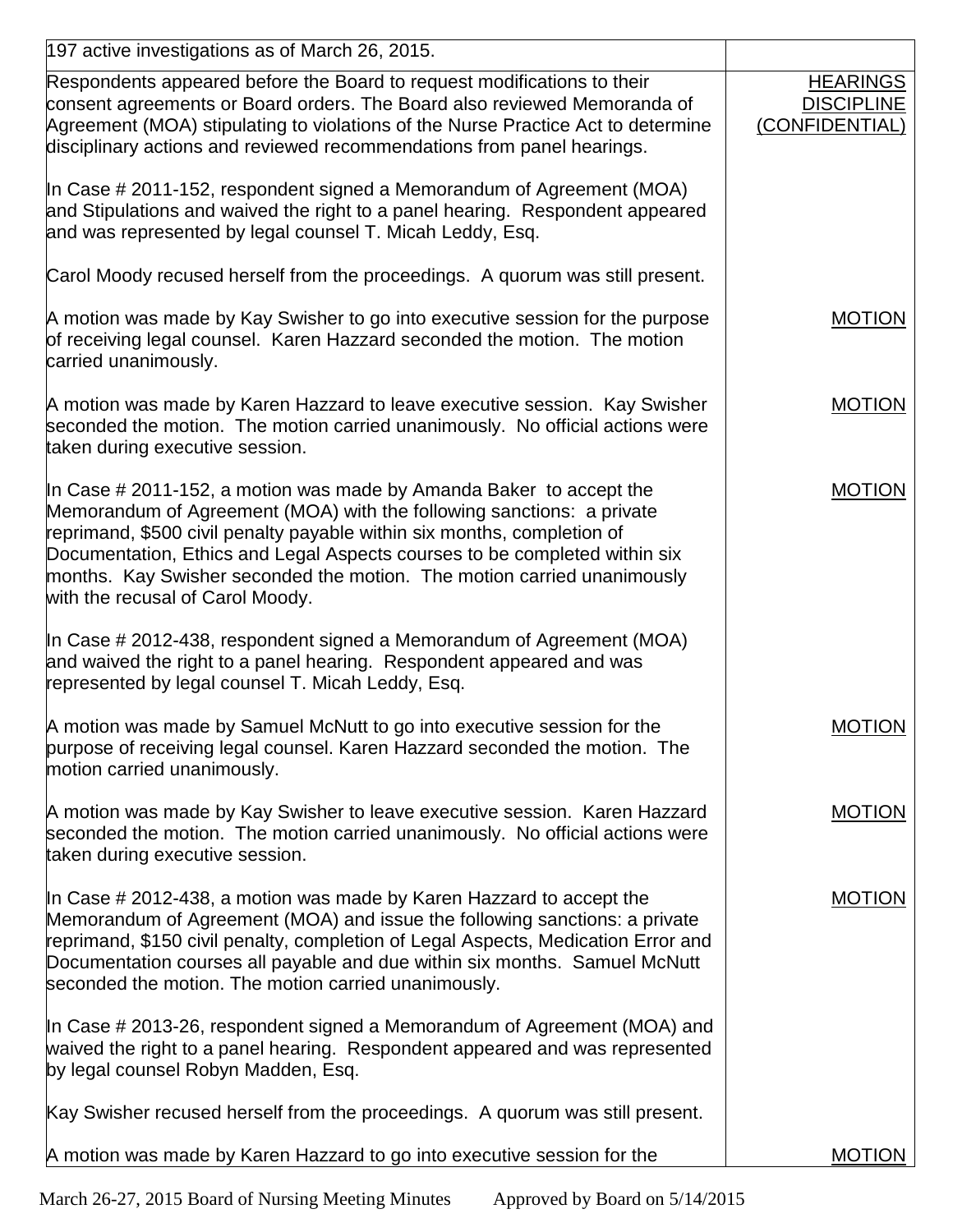| 197 active investigations as of March 26, 2015.                                                                                                                                                                                                                                                                                                                                                                      |                                                        |
|----------------------------------------------------------------------------------------------------------------------------------------------------------------------------------------------------------------------------------------------------------------------------------------------------------------------------------------------------------------------------------------------------------------------|--------------------------------------------------------|
| Respondents appeared before the Board to request modifications to their<br>consent agreements or Board orders. The Board also reviewed Memoranda of<br>Agreement (MOA) stipulating to violations of the Nurse Practice Act to determine<br>disciplinary actions and reviewed recommendations from panel hearings.                                                                                                    | <b>HEARINGS</b><br><b>DISCIPLINE</b><br>(CONFIDENTIAL) |
| In Case # 2011-152, respondent signed a Memorandum of Agreement (MOA)<br>and Stipulations and waived the right to a panel hearing. Respondent appeared<br>and was represented by legal counsel T. Micah Leddy, Esq.                                                                                                                                                                                                  |                                                        |
| Carol Moody recused herself from the proceedings. A quorum was still present.                                                                                                                                                                                                                                                                                                                                        |                                                        |
| A motion was made by Kay Swisher to go into executive session for the purpose<br>of receiving legal counsel. Karen Hazzard seconded the motion. The motion<br>carried unanimously.                                                                                                                                                                                                                                   | <b>MOTION</b>                                          |
| A motion was made by Karen Hazzard to leave executive session. Kay Swisher<br>seconded the motion. The motion carried unanimously. No official actions were<br>taken during executive session.                                                                                                                                                                                                                       | <b>MOTION</b>                                          |
| In Case # 2011-152, a motion was made by Amanda Baker to accept the<br>Memorandum of Agreement (MOA) with the following sanctions: a private<br>reprimand, \$500 civil penalty payable within six months, completion of<br>Documentation, Ethics and Legal Aspects courses to be completed within six<br>months. Kay Swisher seconded the motion. The motion carried unanimously<br>with the recusal of Carol Moody. | <b>MOTION</b>                                          |
| In Case # 2012-438, respondent signed a Memorandum of Agreement (MOA)<br>and waived the right to a panel hearing. Respondent appeared and was<br>represented by legal counsel T. Micah Leddy, Esq.                                                                                                                                                                                                                   |                                                        |
| A motion was made by Samuel McNutt to go into executive session for the<br>purpose of receiving legal counsel. Karen Hazzard seconded the motion. The<br>motion carried unanimously.                                                                                                                                                                                                                                 | <b>MOTION</b>                                          |
| A motion was made by Kay Swisher to leave executive session. Karen Hazzard<br>seconded the motion. The motion carried unanimously. No official actions were<br>taken during executive session.                                                                                                                                                                                                                       | <b>MOTION</b>                                          |
| In Case # 2012-438, a motion was made by Karen Hazzard to accept the<br>Memorandum of Agreement (MOA) and issue the following sanctions: a private<br>reprimand, \$150 civil penalty, completion of Legal Aspects, Medication Error and<br>Documentation courses all payable and due within six months. Samuel McNutt<br>seconded the motion. The motion carried unanimously.                                        | <b>MOTION</b>                                          |
| In Case # 2013-26, respondent signed a Memorandum of Agreement (MOA) and<br>waived the right to a panel hearing. Respondent appeared and was represented<br>by legal counsel Robyn Madden, Esq.                                                                                                                                                                                                                      |                                                        |
| Kay Swisher recused herself from the proceedings. A quorum was still present.                                                                                                                                                                                                                                                                                                                                        |                                                        |
| A motion was made by Karen Hazzard to go into executive session for the                                                                                                                                                                                                                                                                                                                                              | <b>MOTION</b>                                          |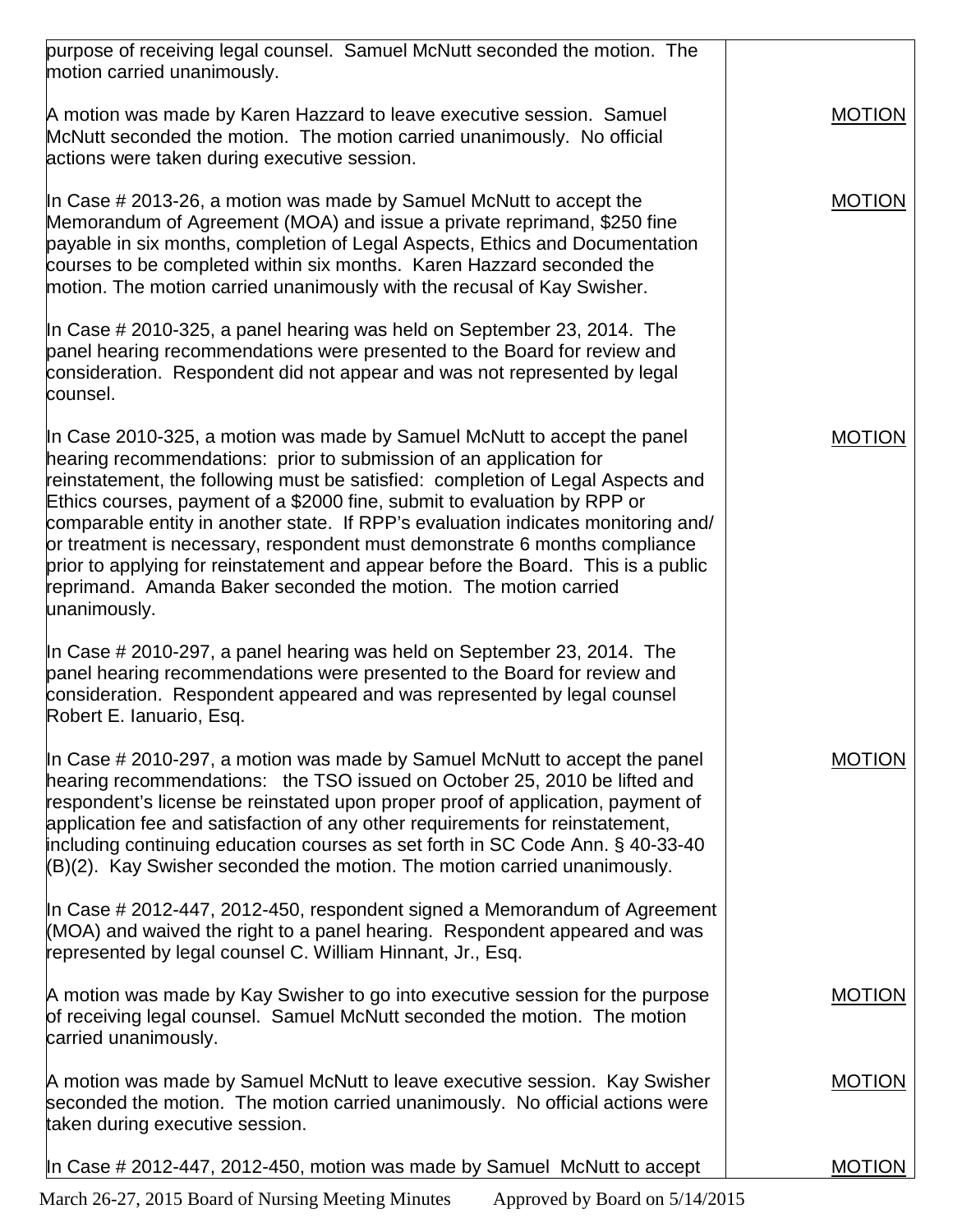| purpose of receiving legal counsel. Samuel McNutt seconded the motion. The<br>motion carried unanimously.                                                                                                                                                                                                                                                                                                                                                                                                                                                                                                                                                |               |
|----------------------------------------------------------------------------------------------------------------------------------------------------------------------------------------------------------------------------------------------------------------------------------------------------------------------------------------------------------------------------------------------------------------------------------------------------------------------------------------------------------------------------------------------------------------------------------------------------------------------------------------------------------|---------------|
| A motion was made by Karen Hazzard to leave executive session. Samuel<br>McNutt seconded the motion. The motion carried unanimously. No official<br>actions were taken during executive session.                                                                                                                                                                                                                                                                                                                                                                                                                                                         | <b>MOTION</b> |
| In Case $\#$ 2013-26, a motion was made by Samuel McNutt to accept the<br>Memorandum of Agreement (MOA) and issue a private reprimand, \$250 fine<br>payable in six months, completion of Legal Aspects, Ethics and Documentation<br>courses to be completed within six months. Karen Hazzard seconded the<br>motion. The motion carried unanimously with the recusal of Kay Swisher.                                                                                                                                                                                                                                                                    | <b>MOTION</b> |
| In Case $\#$ 2010-325, a panel hearing was held on September 23, 2014. The<br>panel hearing recommendations were presented to the Board for review and<br>consideration. Respondent did not appear and was not represented by legal<br>counsel.                                                                                                                                                                                                                                                                                                                                                                                                          |               |
| In Case 2010-325, a motion was made by Samuel McNutt to accept the panel<br>hearing recommendations: prior to submission of an application for<br>reinstatement, the following must be satisfied: completion of Legal Aspects and<br>Ethics courses, payment of a \$2000 fine, submit to evaluation by RPP or<br>comparable entity in another state. If RPP's evaluation indicates monitoring and/<br>or treatment is necessary, respondent must demonstrate 6 months compliance<br>prior to applying for reinstatement and appear before the Board. This is a public<br>reprimand. Amanda Baker seconded the motion. The motion carried<br>unanimously. | <b>MOTION</b> |
| In Case # 2010-297, a panel hearing was held on September 23, 2014. The<br>panel hearing recommendations were presented to the Board for review and<br>consideration. Respondent appeared and was represented by legal counsel<br>Robert E. Ianuario, Esq.                                                                                                                                                                                                                                                                                                                                                                                               |               |
| In Case # 2010-297, a motion was made by Samuel McNutt to accept the panel<br>hearing recommendations: the TSO issued on October 25, 2010 be lifted and<br>respondent's license be reinstated upon proper proof of application, payment of<br>application fee and satisfaction of any other requirements for reinstatement,<br>including continuing education courses as set forth in SC Code Ann. § 40-33-40<br>(B)(2). Kay Swisher seconded the motion. The motion carried unanimously.                                                                                                                                                                | MOTION        |
| In Case # 2012-447, 2012-450, respondent signed a Memorandum of Agreement<br>(MOA) and waived the right to a panel hearing. Respondent appeared and was<br>represented by legal counsel C. William Hinnant, Jr., Esq.                                                                                                                                                                                                                                                                                                                                                                                                                                    |               |
| A motion was made by Kay Swisher to go into executive session for the purpose<br>of receiving legal counsel. Samuel McNutt seconded the motion. The motion<br>carried unanimously.                                                                                                                                                                                                                                                                                                                                                                                                                                                                       | <b>MOTION</b> |
| A motion was made by Samuel McNutt to leave executive session. Kay Swisher<br>seconded the motion. The motion carried unanimously. No official actions were<br>taken during executive session.                                                                                                                                                                                                                                                                                                                                                                                                                                                           | <b>MOTION</b> |
| In Case # 2012-447, 2012-450, motion was made by Samuel McNutt to accept                                                                                                                                                                                                                                                                                                                                                                                                                                                                                                                                                                                 | <b>MOTION</b> |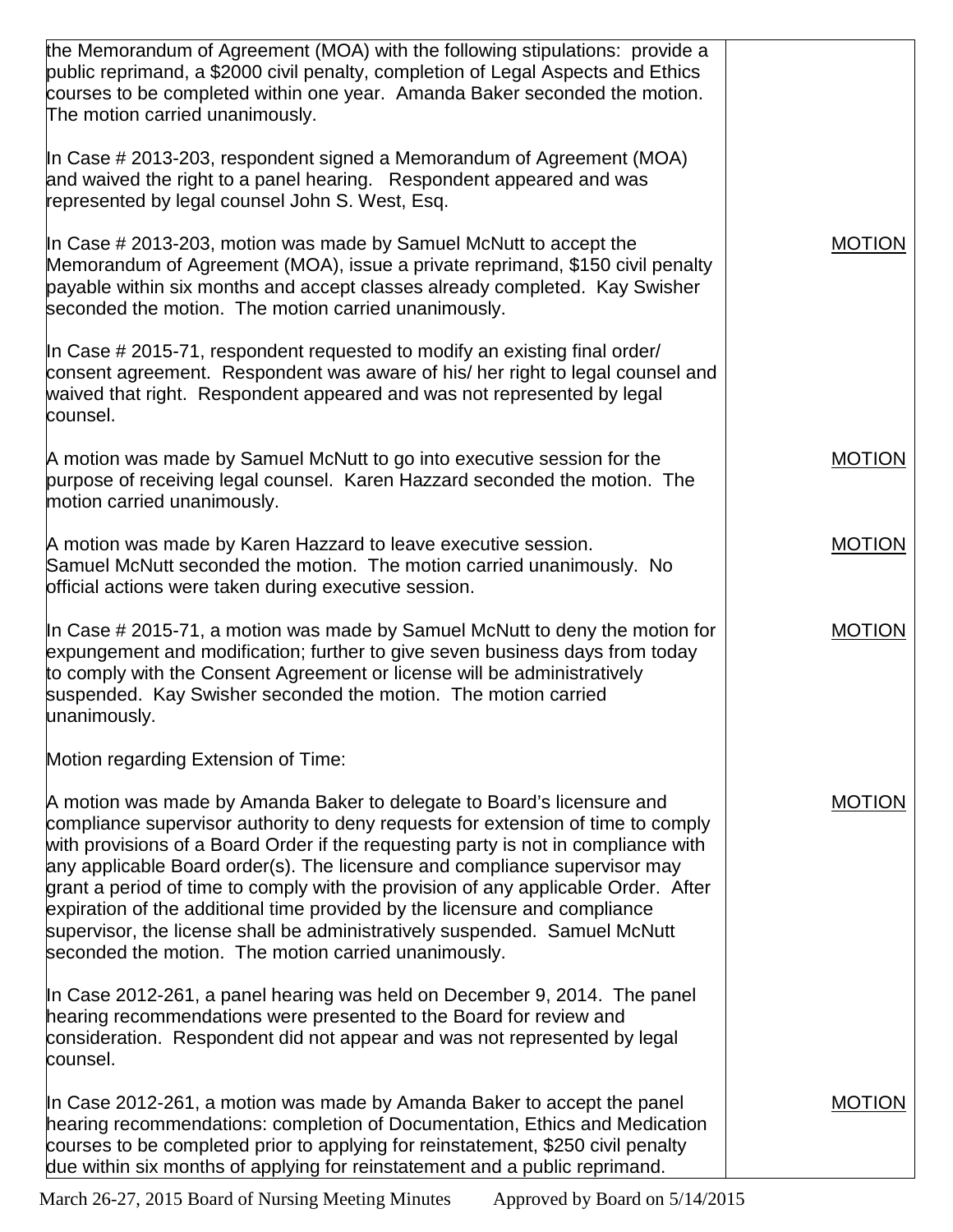| the Memorandum of Agreement (MOA) with the following stipulations: provide a<br>public reprimand, a \$2000 civil penalty, completion of Legal Aspects and Ethics<br>courses to be completed within one year. Amanda Baker seconded the motion.<br>The motion carried unanimously.                                                                                                                                                                                                                                                                                                                                                        |               |
|------------------------------------------------------------------------------------------------------------------------------------------------------------------------------------------------------------------------------------------------------------------------------------------------------------------------------------------------------------------------------------------------------------------------------------------------------------------------------------------------------------------------------------------------------------------------------------------------------------------------------------------|---------------|
| In Case # 2013-203, respondent signed a Memorandum of Agreement (MOA)<br>and waived the right to a panel hearing. Respondent appeared and was<br>represented by legal counsel John S. West, Esq.                                                                                                                                                                                                                                                                                                                                                                                                                                         |               |
| In Case # 2013-203, motion was made by Samuel McNutt to accept the<br>Memorandum of Agreement (MOA), issue a private reprimand, \$150 civil penalty<br>payable within six months and accept classes already completed. Kay Swisher<br>seconded the motion. The motion carried unanimously.                                                                                                                                                                                                                                                                                                                                               | <b>MOTION</b> |
| In Case # 2015-71, respondent requested to modify an existing final order/<br>consent agreement. Respondent was aware of his/ her right to legal counsel and<br>waived that right. Respondent appeared and was not represented by legal<br>counsel.                                                                                                                                                                                                                                                                                                                                                                                      |               |
| A motion was made by Samuel McNutt to go into executive session for the<br>purpose of receiving legal counsel. Karen Hazzard seconded the motion. The<br>motion carried unanimously.                                                                                                                                                                                                                                                                                                                                                                                                                                                     | <b>MOTION</b> |
| A motion was made by Karen Hazzard to leave executive session.<br>Samuel McNutt seconded the motion. The motion carried unanimously. No<br>official actions were taken during executive session.                                                                                                                                                                                                                                                                                                                                                                                                                                         | <b>MOTION</b> |
| In Case # 2015-71, a motion was made by Samuel McNutt to deny the motion for<br>expungement and modification; further to give seven business days from today<br>to comply with the Consent Agreement or license will be administratively<br>suspended. Kay Swisher seconded the motion. The motion carried<br>unanimously.                                                                                                                                                                                                                                                                                                               | <b>MOTION</b> |
| Motion regarding Extension of Time:                                                                                                                                                                                                                                                                                                                                                                                                                                                                                                                                                                                                      |               |
| A motion was made by Amanda Baker to delegate to Board's licensure and<br>compliance supervisor authority to deny requests for extension of time to comply<br>with provisions of a Board Order if the requesting party is not in compliance with<br>any applicable Board order(s). The licensure and compliance supervisor may<br>grant a period of time to comply with the provision of any applicable Order. After<br>expiration of the additional time provided by the licensure and compliance<br>supervisor, the license shall be administratively suspended. Samuel McNutt<br>seconded the motion. The motion carried unanimously. | MOTION        |
| In Case 2012-261, a panel hearing was held on December 9, 2014. The panel<br>hearing recommendations were presented to the Board for review and<br>consideration. Respondent did not appear and was not represented by legal<br>counsel.                                                                                                                                                                                                                                                                                                                                                                                                 |               |
| In Case 2012-261, a motion was made by Amanda Baker to accept the panel<br>hearing recommendations: completion of Documentation, Ethics and Medication<br>courses to be completed prior to applying for reinstatement, \$250 civil penalty<br>due within six months of applying for reinstatement and a public reprimand.                                                                                                                                                                                                                                                                                                                | <b>MOTION</b> |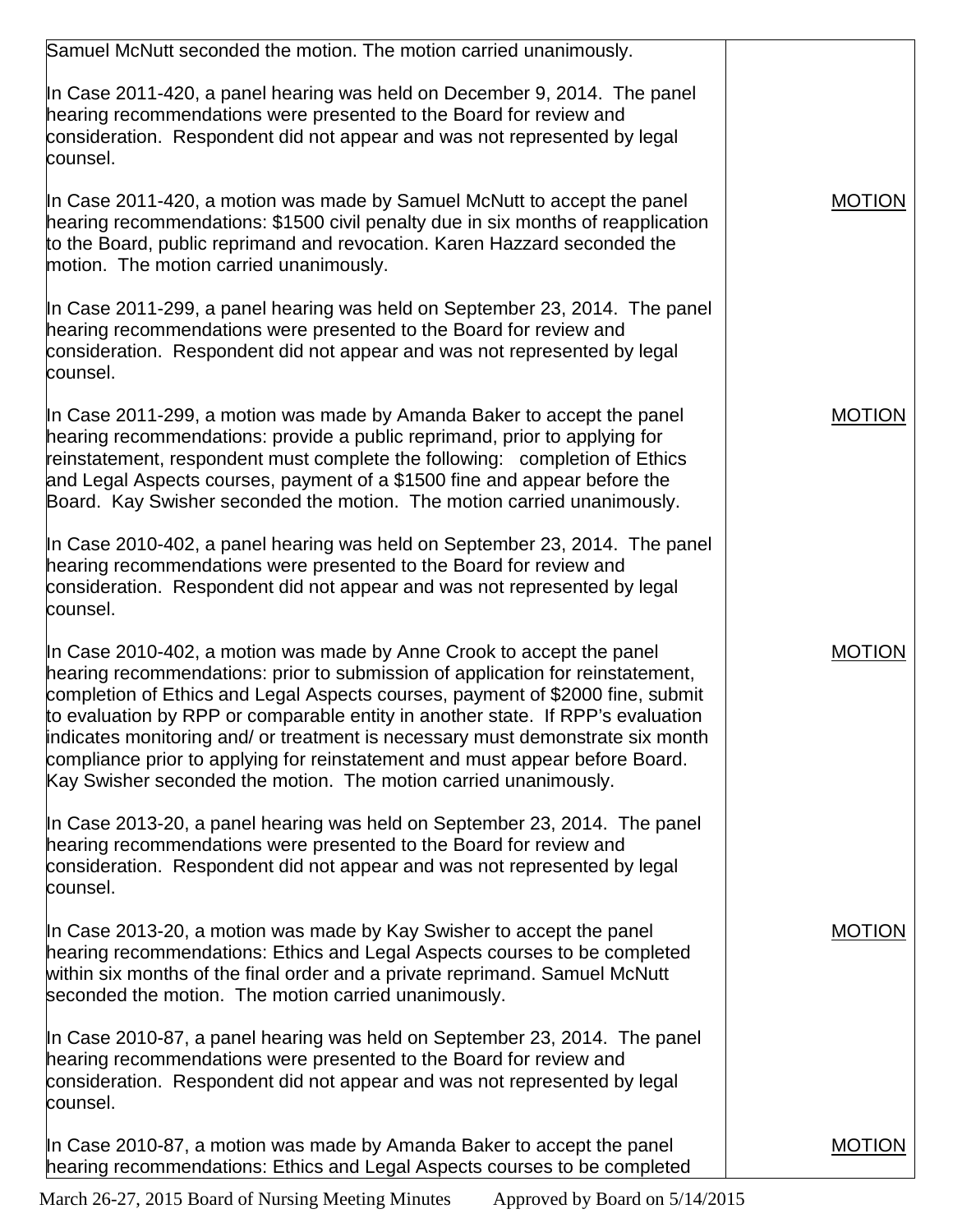| Samuel McNutt seconded the motion. The motion carried unanimously.                                                                                                                                                                                                                                                                                                                                                                                                                                                                                                 |               |
|--------------------------------------------------------------------------------------------------------------------------------------------------------------------------------------------------------------------------------------------------------------------------------------------------------------------------------------------------------------------------------------------------------------------------------------------------------------------------------------------------------------------------------------------------------------------|---------------|
| In Case 2011-420, a panel hearing was held on December 9, 2014. The panel<br>hearing recommendations were presented to the Board for review and<br>consideration. Respondent did not appear and was not represented by legal<br>counsel.                                                                                                                                                                                                                                                                                                                           |               |
| In Case 2011-420, a motion was made by Samuel McNutt to accept the panel<br>hearing recommendations: \$1500 civil penalty due in six months of reapplication<br>to the Board, public reprimand and revocation. Karen Hazzard seconded the<br>motion. The motion carried unanimously.                                                                                                                                                                                                                                                                               | <b>MOTION</b> |
| In Case 2011-299, a panel hearing was held on September 23, 2014. The panel<br>hearing recommendations were presented to the Board for review and<br>consideration. Respondent did not appear and was not represented by legal<br>counsel.                                                                                                                                                                                                                                                                                                                         |               |
| In Case 2011-299, a motion was made by Amanda Baker to accept the panel<br>hearing recommendations: provide a public reprimand, prior to applying for<br>reinstatement, respondent must complete the following: completion of Ethics<br>and Legal Aspects courses, payment of a \$1500 fine and appear before the<br>Board. Kay Swisher seconded the motion. The motion carried unanimously.                                                                                                                                                                       | <b>MOTION</b> |
| In Case 2010-402, a panel hearing was held on September 23, 2014. The panel<br>hearing recommendations were presented to the Board for review and<br>consideration. Respondent did not appear and was not represented by legal<br>counsel.                                                                                                                                                                                                                                                                                                                         |               |
| In Case 2010-402, a motion was made by Anne Crook to accept the panel<br>hearing recommendations: prior to submission of application for reinstatement,<br>completion of Ethics and Legal Aspects courses, payment of \$2000 fine, submit<br>to evaluation by RPP or comparable entity in another state. If RPP's evaluation<br>indicates monitoring and/ or treatment is necessary must demonstrate six month<br>compliance prior to applying for reinstatement and must appear before Board.<br>Kay Swisher seconded the motion. The motion carried unanimously. | <b>MOTION</b> |
| In Case 2013-20, a panel hearing was held on September 23, 2014. The panel<br>hearing recommendations were presented to the Board for review and<br>consideration. Respondent did not appear and was not represented by legal<br>counsel.                                                                                                                                                                                                                                                                                                                          |               |
| In Case 2013-20, a motion was made by Kay Swisher to accept the panel<br>hearing recommendations: Ethics and Legal Aspects courses to be completed<br>within six months of the final order and a private reprimand. Samuel McNutt<br>seconded the motion. The motion carried unanimously.                                                                                                                                                                                                                                                                          | <b>MOTION</b> |
| In Case 2010-87, a panel hearing was held on September 23, 2014. The panel<br>hearing recommendations were presented to the Board for review and<br>consideration. Respondent did not appear and was not represented by legal<br>counsel.                                                                                                                                                                                                                                                                                                                          |               |
| In Case 2010-87, a motion was made by Amanda Baker to accept the panel<br>hearing recommendations: Ethics and Legal Aspects courses to be completed                                                                                                                                                                                                                                                                                                                                                                                                                | <b>MOTION</b> |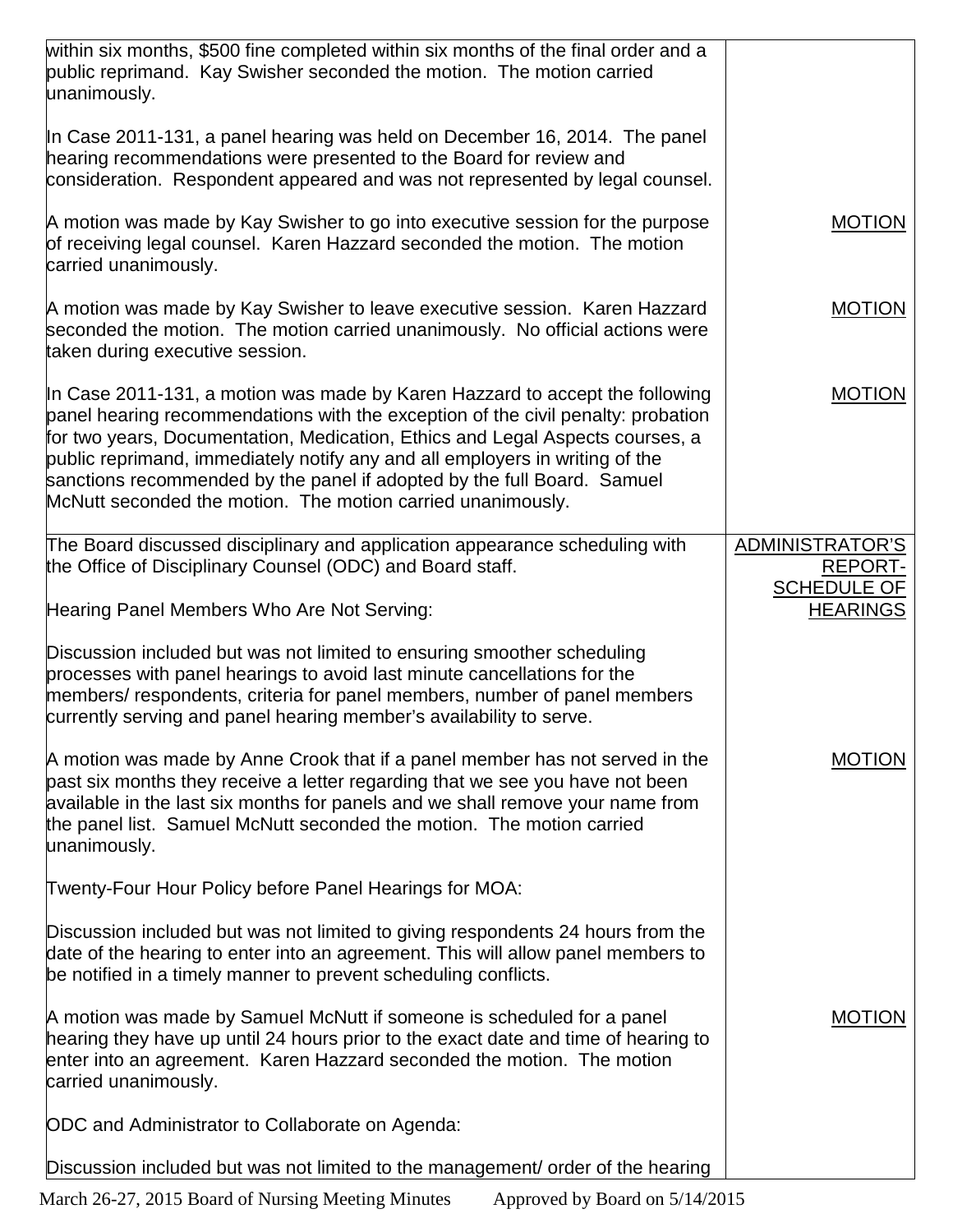| within six months, \$500 fine completed within six months of the final order and a<br>public reprimand. Kay Swisher seconded the motion. The motion carried<br>unanimously.                                                                                                                                                                                                                                                                                                 |                                                                            |
|-----------------------------------------------------------------------------------------------------------------------------------------------------------------------------------------------------------------------------------------------------------------------------------------------------------------------------------------------------------------------------------------------------------------------------------------------------------------------------|----------------------------------------------------------------------------|
| In Case 2011-131, a panel hearing was held on December 16, 2014. The panel<br>hearing recommendations were presented to the Board for review and<br>consideration. Respondent appeared and was not represented by legal counsel.                                                                                                                                                                                                                                            |                                                                            |
| A motion was made by Kay Swisher to go into executive session for the purpose<br>of receiving legal counsel. Karen Hazzard seconded the motion. The motion<br>carried unanimously.                                                                                                                                                                                                                                                                                          | <b>MOTION</b>                                                              |
| A motion was made by Kay Swisher to leave executive session. Karen Hazzard<br>seconded the motion. The motion carried unanimously. No official actions were<br>taken during executive session.                                                                                                                                                                                                                                                                              | <b>MOTION</b>                                                              |
| In Case 2011-131, a motion was made by Karen Hazzard to accept the following<br>panel hearing recommendations with the exception of the civil penalty: probation<br>for two years, Documentation, Medication, Ethics and Legal Aspects courses, a<br>public reprimand, immediately notify any and all employers in writing of the<br>sanctions recommended by the panel if adopted by the full Board. Samuel<br>McNutt seconded the motion. The motion carried unanimously. | <b>MOTION</b>                                                              |
| The Board discussed disciplinary and application appearance scheduling with<br>the Office of Disciplinary Counsel (ODC) and Board staff.<br>Hearing Panel Members Who Are Not Serving:                                                                                                                                                                                                                                                                                      | ADMINISTRATOR'S<br><b>REPORT-</b><br><b>SCHEDULE OF</b><br><b>HEARINGS</b> |
| Discussion included but was not limited to ensuring smoother scheduling<br>processes with panel hearings to avoid last minute cancellations for the<br>members/ respondents, criteria for panel members, number of panel members<br>currently serving and panel hearing member's availability to serve.                                                                                                                                                                     |                                                                            |
| A motion was made by Anne Crook that if a panel member has not served in the<br>past six months they receive a letter regarding that we see you have not been<br>available in the last six months for panels and we shall remove your name from<br>the panel list. Samuel McNutt seconded the motion. The motion carried<br>unanimously.                                                                                                                                    | MUTION                                                                     |
| Twenty-Four Hour Policy before Panel Hearings for MOA:                                                                                                                                                                                                                                                                                                                                                                                                                      |                                                                            |
| Discussion included but was not limited to giving respondents 24 hours from the<br>date of the hearing to enter into an agreement. This will allow panel members to<br>be notified in a timely manner to prevent scheduling conflicts.                                                                                                                                                                                                                                      |                                                                            |
| A motion was made by Samuel McNutt if someone is scheduled for a panel<br>hearing they have up until 24 hours prior to the exact date and time of hearing to<br>enter into an agreement. Karen Hazzard seconded the motion. The motion<br>carried unanimously.                                                                                                                                                                                                              | <b>MOTION</b>                                                              |
| ODC and Administrator to Collaborate on Agenda:                                                                                                                                                                                                                                                                                                                                                                                                                             |                                                                            |
| Discussion included but was not limited to the management/ order of the hearing                                                                                                                                                                                                                                                                                                                                                                                             |                                                                            |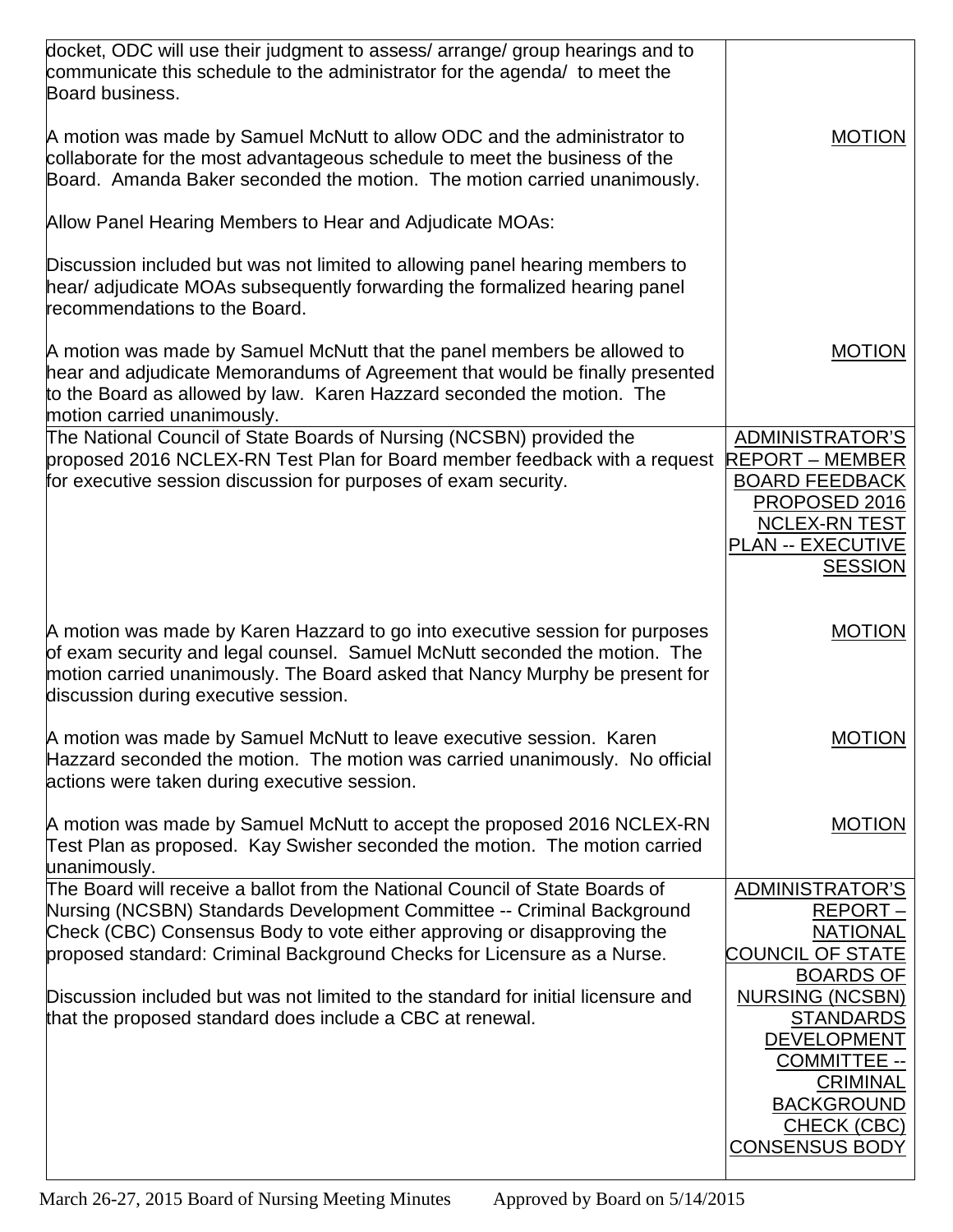| docket, ODC will use their judgment to assess/ arrange/ group hearings and to<br>communicate this schedule to the administrator for the agenda/ to meet the<br>Board business.<br>A motion was made by Samuel McNutt to allow ODC and the administrator to<br>collaborate for the most advantageous schedule to meet the business of the<br>Board. Amanda Baker seconded the motion. The motion carried unanimously. | <b>MOTION</b>                                                                                                                                                           |
|----------------------------------------------------------------------------------------------------------------------------------------------------------------------------------------------------------------------------------------------------------------------------------------------------------------------------------------------------------------------------------------------------------------------|-------------------------------------------------------------------------------------------------------------------------------------------------------------------------|
| Allow Panel Hearing Members to Hear and Adjudicate MOAs:                                                                                                                                                                                                                                                                                                                                                             |                                                                                                                                                                         |
| Discussion included but was not limited to allowing panel hearing members to<br>hear/ adjudicate MOAs subsequently forwarding the formalized hearing panel<br>recommendations to the Board.                                                                                                                                                                                                                          |                                                                                                                                                                         |
| A motion was made by Samuel McNutt that the panel members be allowed to<br>hear and adjudicate Memorandums of Agreement that would be finally presented<br>to the Board as allowed by law. Karen Hazzard seconded the motion. The<br>motion carried unanimously.                                                                                                                                                     | <b>MOTION</b>                                                                                                                                                           |
| The National Council of State Boards of Nursing (NCSBN) provided the<br>proposed 2016 NCLEX-RN Test Plan for Board member feedback with a request<br>for executive session discussion for purposes of exam security.                                                                                                                                                                                                 | <b>ADMINISTRATOR'S</b><br><b>REPORT – MEMBER</b><br><b>BOARD FEEDBACK</b><br>PROPOSED 2016<br><b>NCLEX-RN TEST</b><br><b>PLAN -- EXECUTIVE</b><br><b>SESSION</b>        |
| A motion was made by Karen Hazzard to go into executive session for purposes<br>of exam security and legal counsel. Samuel McNutt seconded the motion. The<br>motion carried unanimously. The Board asked that Nancy Murphy be present for<br>discussion during executive session.                                                                                                                                   | <b>MOTION</b>                                                                                                                                                           |
| A motion was made by Samuel McNutt to leave executive session. Karen<br>Hazzard seconded the motion. The motion was carried unanimously. No official<br>actions were taken during executive session.                                                                                                                                                                                                                 | <b>MOTION</b>                                                                                                                                                           |
| A motion was made by Samuel McNutt to accept the proposed 2016 NCLEX-RN<br>Test Plan as proposed. Kay Swisher seconded the motion. The motion carried<br>unanimously.                                                                                                                                                                                                                                                | <b>MOTION</b>                                                                                                                                                           |
| The Board will receive a ballot from the National Council of State Boards of<br>Nursing (NCSBN) Standards Development Committee -- Criminal Background                                                                                                                                                                                                                                                               | <b>ADMINISTRATOR'S</b><br>REPORT-                                                                                                                                       |
| Check (CBC) Consensus Body to vote either approving or disapproving the                                                                                                                                                                                                                                                                                                                                              | <b>NATIONAL</b>                                                                                                                                                         |
| proposed standard: Criminal Background Checks for Licensure as a Nurse.                                                                                                                                                                                                                                                                                                                                              | <b>COUNCIL OF STATE</b><br><b>BOARDS OF</b>                                                                                                                             |
| Discussion included but was not limited to the standard for initial licensure and<br>that the proposed standard does include a CBC at renewal.                                                                                                                                                                                                                                                                       | <b>NURSING (NCSBN)</b><br><b>STANDARDS</b><br><b>DEVELOPMENT</b><br><b>COMMITTEE --</b><br><b>CRIMINAL</b><br><b>BACKGROUND</b><br>CHECK (CBC)<br><b>CONSENSUS BODY</b> |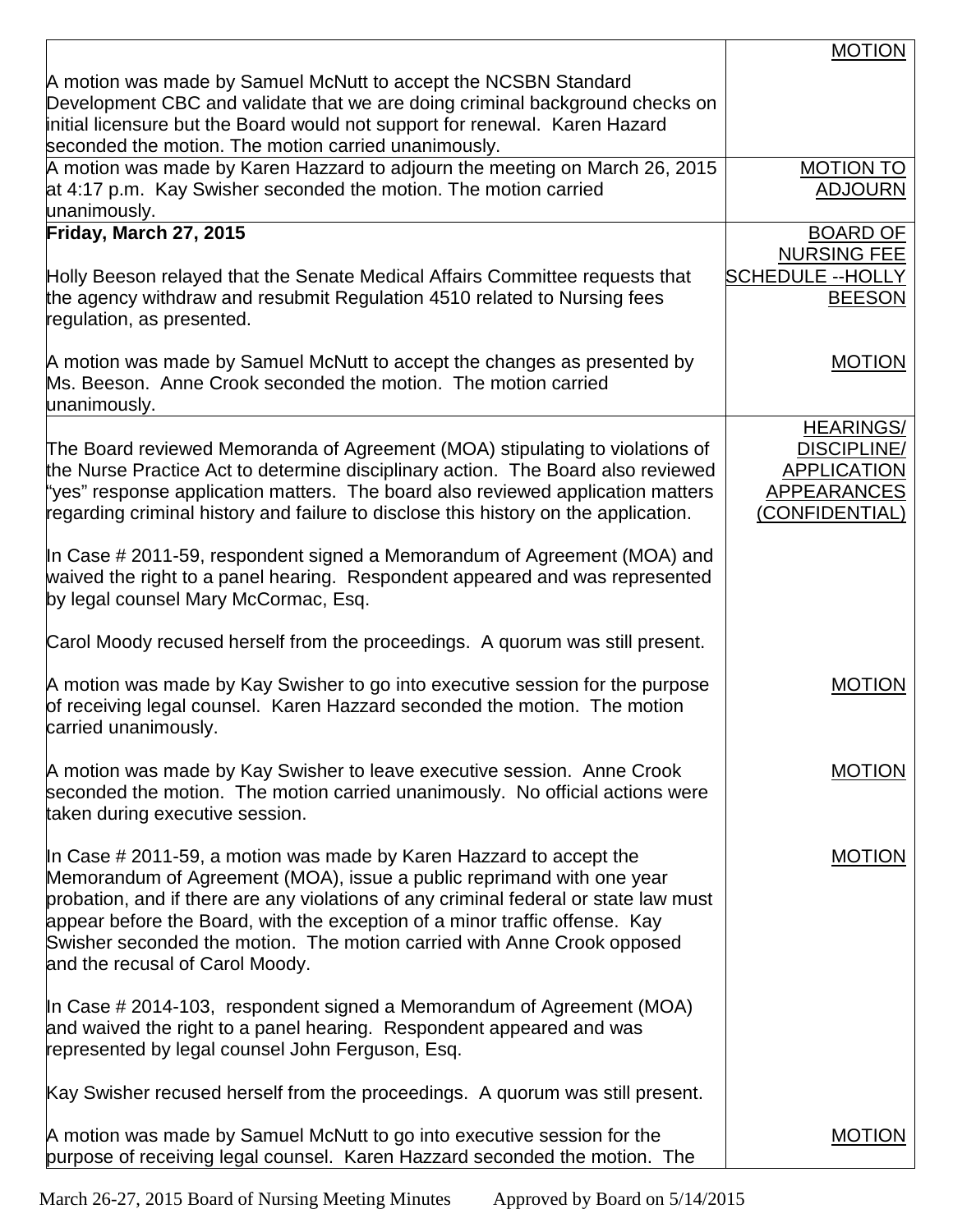|                                                                                                                                                                                                                                                                                                                                                                                                                                      | <b>MOTION</b>                                                                                        |
|--------------------------------------------------------------------------------------------------------------------------------------------------------------------------------------------------------------------------------------------------------------------------------------------------------------------------------------------------------------------------------------------------------------------------------------|------------------------------------------------------------------------------------------------------|
| A motion was made by Samuel McNutt to accept the NCSBN Standard<br>Development CBC and validate that we are doing criminal background checks on<br>initial licensure but the Board would not support for renewal. Karen Hazard                                                                                                                                                                                                       |                                                                                                      |
| seconded the motion. The motion carried unanimously.<br>A motion was made by Karen Hazzard to adjourn the meeting on March 26, 2015<br>at 4:17 p.m. Kay Swisher seconded the motion. The motion carried<br>unanimously.                                                                                                                                                                                                              | <b>MOTION TO</b><br><b>ADJOURN</b>                                                                   |
| Friday, March 27, 2015                                                                                                                                                                                                                                                                                                                                                                                                               | <b>BOARD OF</b>                                                                                      |
| Holly Beeson relayed that the Senate Medical Affairs Committee requests that<br>the agency withdraw and resubmit Regulation 4510 related to Nursing fees<br>regulation, as presented.                                                                                                                                                                                                                                                | <b>NURSING FEE</b><br><b>SCHEDULE --HOLLY</b><br><b>BEESON</b>                                       |
| A motion was made by Samuel McNutt to accept the changes as presented by<br>Ms. Beeson. Anne Crook seconded the motion. The motion carried<br>unanimously.                                                                                                                                                                                                                                                                           | <b>MOTION</b>                                                                                        |
| The Board reviewed Memoranda of Agreement (MOA) stipulating to violations of<br>the Nurse Practice Act to determine disciplinary action. The Board also reviewed<br>"yes" response application matters. The board also reviewed application matters<br>regarding criminal history and failure to disclose this history on the application.                                                                                           | <b>HEARINGS/</b><br><b>DISCIPLINE/</b><br><b>APPLICATION</b><br><b>APPEARANCES</b><br>(CONFIDENTIAL) |
| In Case # 2011-59, respondent signed a Memorandum of Agreement (MOA) and<br>waived the right to a panel hearing. Respondent appeared and was represented<br>by legal counsel Mary McCormac, Esq.                                                                                                                                                                                                                                     |                                                                                                      |
| Carol Moody recused herself from the proceedings. A quorum was still present.                                                                                                                                                                                                                                                                                                                                                        |                                                                                                      |
| A motion was made by Kay Swisher to go into executive session for the purpose<br>of receiving legal counsel. Karen Hazzard seconded the motion. The motion<br>carried unanimously.                                                                                                                                                                                                                                                   | <b>MOTION</b>                                                                                        |
| A motion was made by Kay Swisher to leave executive session. Anne Crook<br>seconded the motion. The motion carried unanimously. No official actions were<br>taken during executive session.                                                                                                                                                                                                                                          | <b>MOTION</b>                                                                                        |
| In Case $\#$ 2011-59, a motion was made by Karen Hazzard to accept the<br>Memorandum of Agreement (MOA), issue a public reprimand with one year<br>probation, and if there are any violations of any criminal federal or state law must<br>appear before the Board, with the exception of a minor traffic offense. Kay<br>Swisher seconded the motion. The motion carried with Anne Crook opposed<br>and the recusal of Carol Moody. | <b>MOTION</b>                                                                                        |
| In Case $\#$ 2014-103, respondent signed a Memorandum of Agreement (MOA)<br>and waived the right to a panel hearing. Respondent appeared and was<br>represented by legal counsel John Ferguson, Esq.                                                                                                                                                                                                                                 |                                                                                                      |
| Kay Swisher recused herself from the proceedings. A quorum was still present.                                                                                                                                                                                                                                                                                                                                                        |                                                                                                      |
| A motion was made by Samuel McNutt to go into executive session for the<br>purpose of receiving legal counsel. Karen Hazzard seconded the motion. The                                                                                                                                                                                                                                                                                | <b>MOTION</b>                                                                                        |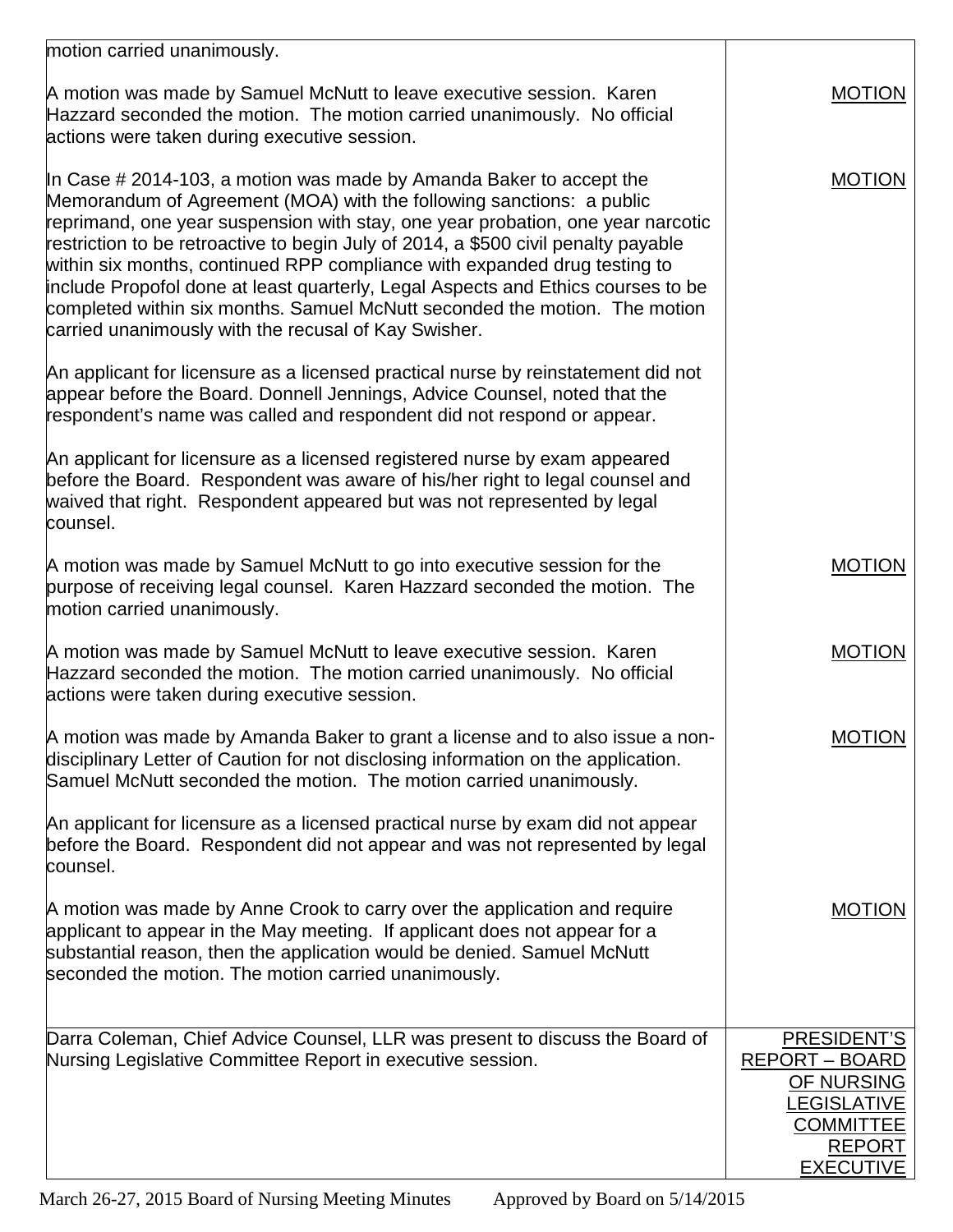| motion carried unanimously.                                                                                                                                                                                                                                                                                                                                                                                                                                                                                                                                                                                                    |                                                                                                                                          |
|--------------------------------------------------------------------------------------------------------------------------------------------------------------------------------------------------------------------------------------------------------------------------------------------------------------------------------------------------------------------------------------------------------------------------------------------------------------------------------------------------------------------------------------------------------------------------------------------------------------------------------|------------------------------------------------------------------------------------------------------------------------------------------|
| A motion was made by Samuel McNutt to leave executive session. Karen<br>Hazzard seconded the motion. The motion carried unanimously. No official<br>actions were taken during executive session.                                                                                                                                                                                                                                                                                                                                                                                                                               | <b>MOTION</b>                                                                                                                            |
| In Case $\#$ 2014-103, a motion was made by Amanda Baker to accept the<br>Memorandum of Agreement (MOA) with the following sanctions: a public<br>reprimand, one year suspension with stay, one year probation, one year narcotic<br>restriction to be retroactive to begin July of 2014, a \$500 civil penalty payable<br>within six months, continued RPP compliance with expanded drug testing to<br>include Propofol done at least quarterly, Legal Aspects and Ethics courses to be<br>completed within six months. Samuel McNutt seconded the motion. The motion<br>carried unanimously with the recusal of Kay Swisher. | <b>MOTION</b>                                                                                                                            |
| An applicant for licensure as a licensed practical nurse by reinstatement did not<br>appear before the Board. Donnell Jennings, Advice Counsel, noted that the<br>respondent's name was called and respondent did not respond or appear.                                                                                                                                                                                                                                                                                                                                                                                       |                                                                                                                                          |
| An applicant for licensure as a licensed registered nurse by exam appeared<br>before the Board. Respondent was aware of his/her right to legal counsel and<br>waived that right. Respondent appeared but was not represented by legal<br>counsel.                                                                                                                                                                                                                                                                                                                                                                              |                                                                                                                                          |
| A motion was made by Samuel McNutt to go into executive session for the<br>purpose of receiving legal counsel. Karen Hazzard seconded the motion. The<br>motion carried unanimously.                                                                                                                                                                                                                                                                                                                                                                                                                                           | <b>MOTION</b>                                                                                                                            |
| A motion was made by Samuel McNutt to leave executive session. Karen<br>Hazzard seconded the motion. The motion carried unanimously. No official<br>actions were taken during executive session.                                                                                                                                                                                                                                                                                                                                                                                                                               | <b>MOTION</b>                                                                                                                            |
| A motion was made by Amanda Baker to grant a license and to also issue a non-<br>disciplinary Letter of Caution for not disclosing information on the application.<br>Samuel McNutt seconded the motion. The motion carried unanimously.                                                                                                                                                                                                                                                                                                                                                                                       | <b>MOTION</b>                                                                                                                            |
| An applicant for licensure as a licensed practical nurse by exam did not appear<br>before the Board. Respondent did not appear and was not represented by legal<br>counsel.                                                                                                                                                                                                                                                                                                                                                                                                                                                    |                                                                                                                                          |
| A motion was made by Anne Crook to carry over the application and require<br>applicant to appear in the May meeting. If applicant does not appear for a<br>substantial reason, then the application would be denied. Samuel McNutt<br>seconded the motion. The motion carried unanimously.                                                                                                                                                                                                                                                                                                                                     | <b>MOTION</b>                                                                                                                            |
| Darra Coleman, Chief Advice Counsel, LLR was present to discuss the Board of<br>Nursing Legislative Committee Report in executive session.                                                                                                                                                                                                                                                                                                                                                                                                                                                                                     | <b>PRESIDENT'S</b><br><b>REPORT - BOARD</b><br>OF NURSING<br><b>LEGISLATIVE</b><br><b>COMMITTEE</b><br><b>REPORT</b><br><b>EXECUTIVE</b> |